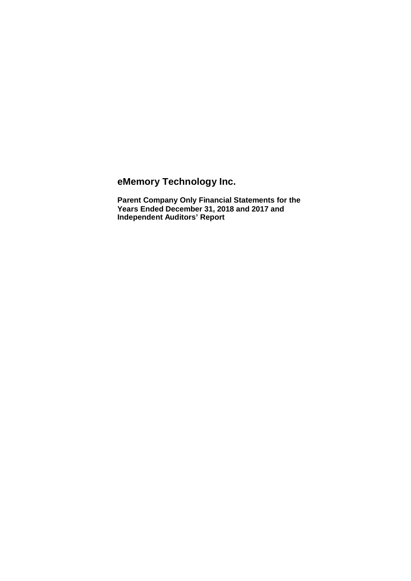**eMemory Technology Inc.**

**Parent Company Only Financial Statements for the Years Ended December 31, 2018 and 2017 and Independent Auditors' Report**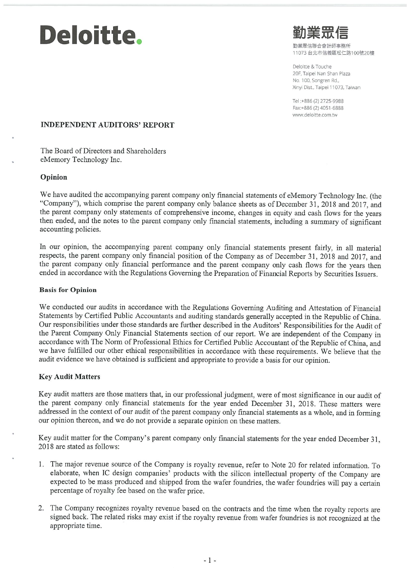# Deloitte.

勤業眾信聯合命計師事務所 11073 台北市信義區松仁路100號20樓

Deloitte & Touche 20F, Taipei Nan Shan Plaza No. 100, Songren Rd., Xinyi Dist., Taipei 11073, Taiwan

Tel: +886 (2) 2725-9988 Fax:+886 (2) 4051-6888 www.deloitte.com.tw

#### **INDEPENDENT AUDITORS' REPORT**

The Board of Directors and Shareholders eMemory Technology Inc.

#### Opinion

We have audited the accompanying parent company only financial statements of eMemory Technology Inc. (the "Company"), which comprise the parent company only balance sheets as of December 31, 2018 and 2017, and the parent company only statements of comprehensive income, changes in equity and cash flows for the years then ended, and the notes to the parent company only financial statements, including a summary of significant accounting policies.

In our opinion, the accompanying parent company only financial statements present fairly, in all material respects, the parent company only financial position of the Company as of December 31, 2018 and 2017, and the parent company only financial performance and the parent company only cash flows for the years then ended in accordance with the Regulations Governing the Preparation of Financial Reports by Securities Issuers.

#### **Basis for Opinion**

We conducted our audits in accordance with the Regulations Governing Auditing and Attestation of Financial Statements by Certified Public Accountants and auditing standards generally accepted in the Republic of China. Our responsibilities under those standards are further described in the Auditors' Responsibilities for the Audit of the Parent Company Only Financial Statements section of our report. We are independent of the Company in accordance with The Norm of Professional Ethics for Certified Public Accountant of the Republic of China, and we have fulfilled our other ethical responsibilities in accordance with these requirements. We believe that the audit evidence we have obtained is sufficient and appropriate to provide a basis for our opinion.

#### **Key Audit Matters**

Key audit matters are those matters that, in our professional judgment, were of most significance in our audit of the parent company only financial statements for the year ended December 31, 2018. These matters were addressed in the context of our audit of the parent company only financial statements as a whole, and in forming our opinion thereon, and we do not provide a separate opinion on these matters.

Key audit matter for the Company's parent company only financial statements for the year ended December 31, 2018 are stated as follows:

- 1. The major revenue source of the Company is royalty revenue, refer to Note 20 for related information. To elaborate, when IC design companies' products with the silicon intellectual property of the Company are expected to be mass produced and shipped from the wafer foundries, the wafer foundries will pay a certain percentage of royalty fee based on the wafer price.
- 2. The Company recognizes royalty revenue based on the contracts and the time when the royalty reports are signed back. The related risks may exist if the royalty revenue from wafer foundries is not recognized at the appropriate time.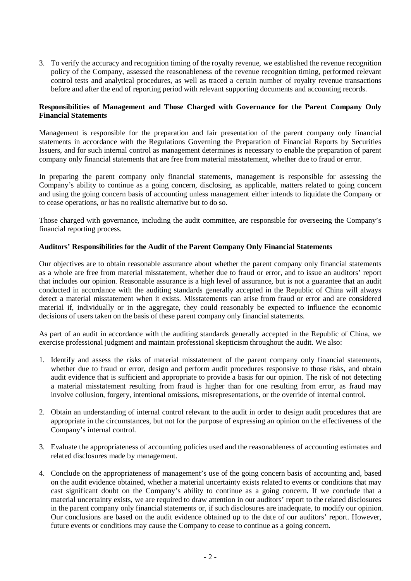3. To verify the accuracy and recognition timing of the royalty revenue, we established the revenue recognition policy of the Company, assessed the reasonableness of the revenue recognition timing, performed relevant control tests and analytical procedures, as well as traced a certain number of royalty revenue transactions before and after the end of reporting period with relevant supporting documents and accounting records.

#### **Responsibilities of Management and Those Charged with Governance for the Parent Company Only Financial Statements**

Management is responsible for the preparation and fair presentation of the parent company only financial statements in accordance with the Regulations Governing the Preparation of Financial Reports by Securities Issuers, and for such internal control as management determines is necessary to enable the preparation of parent company only financial statements that are free from material misstatement, whether due to fraud or error.

In preparing the parent company only financial statements, management is responsible for assessing the Company's ability to continue as a going concern, disclosing, as applicable, matters related to going concern and using the going concern basis of accounting unless management either intends to liquidate the Company or to cease operations, or has no realistic alternative but to do so.

Those charged with governance, including the audit committee, are responsible for overseeing the Company's financial reporting process.

#### **Auditors' Responsibilities for the Audit of the Parent Company Only Financial Statements**

Our objectives are to obtain reasonable assurance about whether the parent company only financial statements as a whole are free from material misstatement, whether due to fraud or error, and to issue an auditors' report that includes our opinion. Reasonable assurance is a high level of assurance, but is not a guarantee that an audit conducted in accordance with the auditing standards generally accepted in the Republic of China will always detect a material misstatement when it exists. Misstatements can arise from fraud or error and are considered material if, individually or in the aggregate, they could reasonably be expected to influence the economic decisions of users taken on the basis of these parent company only financial statements.

As part of an audit in accordance with the auditing standards generally accepted in the Republic of China, we exercise professional judgment and maintain professional skepticism throughout the audit. We also:

- 1. Identify and assess the risks of material misstatement of the parent company only financial statements, whether due to fraud or error, design and perform audit procedures responsive to those risks, and obtain audit evidence that is sufficient and appropriate to provide a basis for our opinion. The risk of not detecting a material misstatement resulting from fraud is higher than for one resulting from error, as fraud may involve collusion, forgery, intentional omissions, misrepresentations, or the override of internal control.
- 2. Obtain an understanding of internal control relevant to the audit in order to design audit procedures that are appropriate in the circumstances, but not for the purpose of expressing an opinion on the effectiveness of the Company's internal control.
- 3. Evaluate the appropriateness of accounting policies used and the reasonableness of accounting estimates and related disclosures made by management.
- 4. Conclude on the appropriateness of management's use of the going concern basis of accounting and, based on the audit evidence obtained, whether a material uncertainty exists related to events or conditions that may cast significant doubt on the Company's ability to continue as a going concern. If we conclude that a material uncertainty exists, we are required to draw attention in our auditors' report to the related disclosures in the parent company only financial statements or, if such disclosures are inadequate, to modify our opinion. Our conclusions are based on the audit evidence obtained up to the date of our auditors' report. However, future events or conditions may cause the Company to cease to continue as a going concern.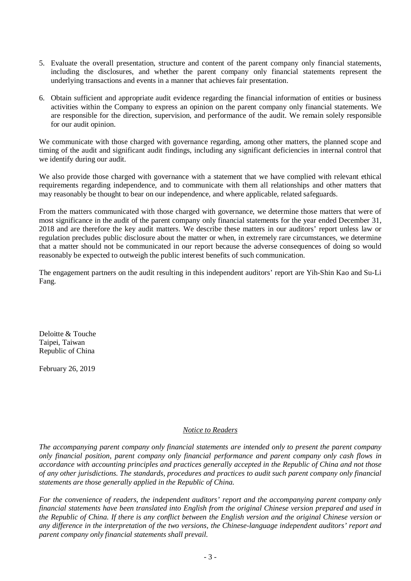- 5. Evaluate the overall presentation, structure and content of the parent company only financial statements, including the disclosures, and whether the parent company only financial statements represent the underlying transactions and events in a manner that achieves fair presentation.
- 6. Obtain sufficient and appropriate audit evidence regarding the financial information of entities or business activities within the Company to express an opinion on the parent company only financial statements. We are responsible for the direction, supervision, and performance of the audit. We remain solely responsible for our audit opinion.

We communicate with those charged with governance regarding, among other matters, the planned scope and timing of the audit and significant audit findings, including any significant deficiencies in internal control that we identify during our audit.

We also provide those charged with governance with a statement that we have complied with relevant ethical requirements regarding independence, and to communicate with them all relationships and other matters that may reasonably be thought to bear on our independence, and where applicable, related safeguards.

From the matters communicated with those charged with governance, we determine those matters that were of most significance in the audit of the parent company only financial statements for the year ended December 31, 2018 and are therefore the key audit matters. We describe these matters in our auditors' report unless law or regulation precludes public disclosure about the matter or when, in extremely rare circumstances, we determine that a matter should not be communicated in our report because the adverse consequences of doing so would reasonably be expected to outweigh the public interest benefits of such communication.

The engagement partners on the audit resulting in this independent auditors' report are Yih-Shin Kao and Su-Li Fang.

Deloitte & Touche Taipei, Taiwan Republic of China

February 26, 2019

#### *Notice to Readers*

*The accompanying parent company only financial statements are intended only to present the parent company only financial position, parent company only financial performance and parent company only cash flows in accordance with accounting principles and practices generally accepted in the Republic of China and not those of any other jurisdictions. The standards, procedures and practices to audit such parent company only financial statements are those generally applied in the Republic of China.*

*For the convenience of readers, the independent auditors' report and the accompanying parent company only financial statements have been translated into English from the original Chinese version prepared and used in the Republic of China. If there is any conflict between the English version and the original Chinese version or any difference in the interpretation of the two versions, the Chinese-language independent auditors' report and parent company only financial statements shall prevail.*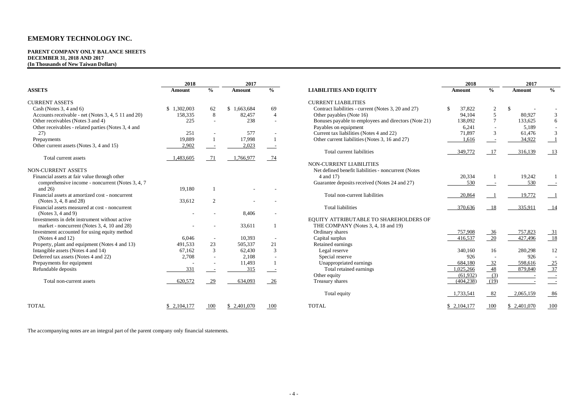#### **PARENT COMPANY ONLY BALANCE SHEETS DECEMBER 31, 2018 AND 2017 (In Thousands of New Taiwan Dollars)**

|                                                     | 2018        |                          | 2017          |                          |                                                      | 2018         |                          | 2017        |                            |
|-----------------------------------------------------|-------------|--------------------------|---------------|--------------------------|------------------------------------------------------|--------------|--------------------------|-------------|----------------------------|
| <b>ASSETS</b>                                       | Amount      | $\frac{0}{0}$            | <b>Amount</b> | $\frac{0}{0}$            | <b>LIABILITIES AND EQUITY</b>                        | Amount       | $\%$                     | Amount      | $\frac{0}{0}$              |
| <b>CURRENT ASSETS</b>                               |             |                          |               |                          | <b>CURRENT LIABILITIES</b>                           |              |                          |             |                            |
| Cash (Notes $3, 4$ and $6$ )                        | \$1,302,003 | 62                       | \$1.663.684   | 69                       | Contract liabilities - current (Notes 3, 20 and 27)  | 37,822<br>\$ | 2                        | -S          |                            |
| Accounts receivable - net (Notes 3, 4, 5 11 and 20) | 158,335     | 8                        | 82.457        | $\overline{4}$           | Other payables (Note 16)                             | 94.104       | 5                        | 80,927      | 3                          |
| Other receivables (Notes 3 and 4)                   | 225         | $\sim$                   | 238           | $\overline{a}$           | Bonuses payable to employees and directors (Note 21) | 138,092      | $7\phantom{.0}$          | 133,625     | 6                          |
| Other receivables - related parties (Notes 3, 4 and |             |                          |               |                          | Payables on equipment                                | 6,241        | $\overline{\phantom{a}}$ | 5,189       |                            |
| 27)                                                 | 251         |                          | 577           |                          | Current tax liabilities (Notes 4 and 22)             | 71,897       | 3                        | 61,476      | $\mathfrak{Z}$             |
| Prepayments                                         | 19.889      | $\mathbf{1}$             | 17,998        |                          | Other current liabilities (Notes 3, 16 and 27)       | 1,616        |                          | 34,922      |                            |
| Other current assets (Notes 3, 4 and 15)            | 2.902       |                          | 2,023         |                          |                                                      |              |                          |             |                            |
|                                                     |             |                          |               |                          | Total current liabilities                            | 349,772      | 17                       | 316,139     | $\overline{\phantom{0}13}$ |
| Total current assets                                | 1,483,605   | 71                       | 1.766.977     | - 74                     |                                                      |              |                          |             |                            |
|                                                     |             |                          |               |                          | <b>NON-CURRENT LIABILITIES</b>                       |              |                          |             |                            |
| NON-CURRENT ASSETS                                  |             |                          |               |                          | Net defined benefit liabilities - noncurrent (Notes  |              |                          |             |                            |
| Financial assets at fair value through other        |             |                          |               |                          | 4 and 17)                                            | 20,334       |                          | 19,242      |                            |
| comprehensive income - noncurrent (Notes 3, 4, 7)   |             |                          |               |                          | Guarantee deposits received (Notes 24 and 27)        | 530          |                          | 530         |                            |
| and $26$ )                                          | 19,180      |                          |               |                          |                                                      |              |                          |             |                            |
| Financial assets at amortized cost - noncurrent     |             |                          |               |                          | Total non-current liabilities                        | 20,864       |                          | 19,772      |                            |
| (Notes 3, 4, 8 and 28)                              | 33,612      | $\overline{c}$           |               |                          |                                                      |              |                          |             |                            |
| Financial assets measured at cost - noncurrent      |             |                          |               |                          | <b>Total liabilities</b>                             | 370,636      | 18                       | 335,911     | $-14$                      |
| (Notes $3, 4$ and $9$ )                             |             |                          | 8,406         |                          |                                                      |              |                          |             |                            |
| Investments in debt instrument without active       |             |                          |               |                          | EQUITY ATTRIBUTABLE TO SHAREHOLDERS OF               |              |                          |             |                            |
| market - noncurrent (Notes 3, 4, 10 and 28)         |             |                          | 33,611        |                          | THE COMPANY (Notes 3, 4, 18 and 19)                  |              |                          |             |                            |
| Investment accounted for using equity method        |             |                          |               |                          | Ordinary shares                                      | 757,908      | $-36$                    | 757,823     |                            |
| (Notes $4$ and $12$ )                               | 6.046       | $\sim$                   | 10.393        | $\overline{a}$           | Capital surplus                                      | 416,537      | 20                       | 427,496     | $\frac{31}{18}$            |
| Property, plant and equipment (Notes 4 and 13)      | 491,533     | 23                       | 505,337       | 21                       | Retained earnings                                    |              |                          |             |                            |
| Intangible assets (Notes 4 and 14)                  | 67,162      | 3                        | 62,430        | 3                        | Legal reserve                                        | 340,160      | 16                       | 280,298     | 12                         |
| Deferred tax assets (Notes 4 and 22)                | 2,708       | $\overline{\phantom{a}}$ | 2,108         | $\overline{\phantom{a}}$ | Special reserve                                      | 926          | $\overline{\phantom{a}}$ | 926         | $\sim$                     |
| Prepayments for equipment                           |             |                          | 11,493        |                          | Unappropriated earnings                              | 684,180      | 32                       | 598,616     |                            |
| Refundable deposits                                 | 331         |                          | 315           |                          | Total retained earnings                              | 1.025.266    | 48                       | 879,840     | $\frac{25}{37}$            |
|                                                     |             |                          |               |                          | Other equity                                         | (61,932)     | (3)                      |             |                            |
| Total non-current assets                            | 620,572     | 29                       | 634,093       | 26                       | Treasury shares                                      | (404, 238)   | (19)                     |             |                            |
|                                                     |             |                          |               |                          | Total equity                                         | 1,733,541    | 82                       | 2,065,159   | $-86$                      |
| <b>TOTAL</b>                                        | \$2,104,177 | 100                      | \$ 2,401,070  | 100                      | <b>TOTAL</b>                                         | \$2,104,177  | 100                      | \$2,401,070 | 100                        |

The accompanying notes are an integral part of the parent company only financial statements.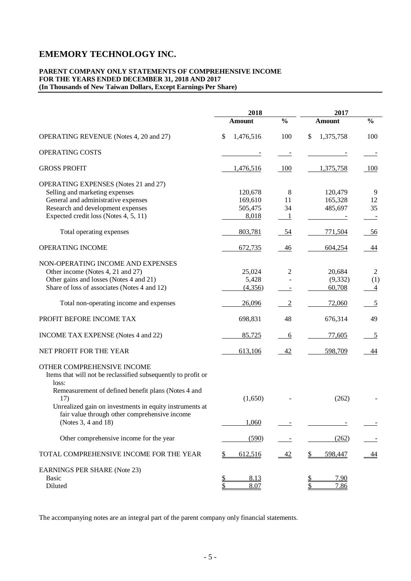#### **PARENT COMPANY ONLY STATEMENTS OF COMPREHENSIVE INCOME FOR THE YEARS ENDED DECEMBER 31, 2018 AND 2017 (In Thousands of New Taiwan Dollars, Except Earnings Per Share)**

|                                                                                                          | 2018                             |                | 2017            |                |
|----------------------------------------------------------------------------------------------------------|----------------------------------|----------------|-----------------|----------------|
|                                                                                                          | Amount                           | $\frac{0}{0}$  | <b>Amount</b>   | $\frac{0}{0}$  |
| OPERATING REVENUE (Notes 4, 20 and 27)                                                                   | \$<br>1,476,516                  | 100            | \$<br>1,375,758 | 100            |
| OPERATING COSTS                                                                                          |                                  |                |                 |                |
| <b>GROSS PROFIT</b>                                                                                      | 1,476,516                        | 100            | 1,375,758       | 100            |
| <b>OPERATING EXPENSES</b> (Notes 21 and 27)                                                              |                                  |                |                 |                |
| Selling and marketing expenses                                                                           | 120,678                          | $\,8\,$        | 120,479         | 9              |
| General and administrative expenses                                                                      | 169,610                          | 11             | 165,328         | 12             |
| Research and development expenses                                                                        | 505,475                          | 34             | 485,697         | 35             |
| Expected credit loss (Notes 4, 5, 11)                                                                    | 8,018                            | $\perp$        |                 |                |
|                                                                                                          |                                  |                |                 |                |
| Total operating expenses                                                                                 | 803,781                          | 54             | 771,504         | <u>56</u>      |
| OPERATING INCOME                                                                                         | 672,735                          | 46             | 604,254         | 44             |
| NON-OPERATING INCOME AND EXPENSES                                                                        |                                  |                |                 |                |
| Other income (Notes 4, 21 and 27)                                                                        | 25,024                           | 2              | 20,684          | $\overline{2}$ |
| Other gains and losses (Notes 4 and 21)                                                                  | 5,428                            |                | (9, 332)        | (1)            |
| Share of loss of associates (Notes 4 and 12)                                                             | (4,356)                          |                | 60,708          | $\overline{4}$ |
|                                                                                                          |                                  |                |                 |                |
| Total non-operating income and expenses                                                                  | 26,096                           | $\overline{2}$ | 72,060          | $\overline{5}$ |
| PROFIT BEFORE INCOME TAX                                                                                 | 698,831                          | 48             | 676,314         | 49             |
| INCOME TAX EXPENSE (Notes 4 and 22)                                                                      | 85,725                           | 6              | 77,605          | $\overline{5}$ |
| NET PROFIT FOR THE YEAR                                                                                  | 613,106                          | 42             | 598,709         | 44             |
| OTHER COMPREHENSIVE INCOME<br>Items that will not be reclassified subsequently to profit or<br>loss:     |                                  |                |                 |                |
| Remeasurement of defined benefit plans (Notes 4 and<br>17)                                               | (1,650)                          |                | (262)           |                |
| Unrealized gain on investments in equity instruments at<br>fair value through other comprehensive income |                                  |                |                 |                |
| (Notes 3, 4 and 18)                                                                                      | 1,060                            |                |                 |                |
| Other comprehensive income for the year                                                                  | (590)                            |                | (262)           |                |
| TOTAL COMPREHENSIVE INCOME FOR THE YEAR                                                                  | 612,516<br>\$                    | 42             | 598,447<br>\$   | <u>44</u>      |
| <b>EARNINGS PER SHARE (Note 23)</b>                                                                      |                                  |                |                 |                |
| Basic                                                                                                    | $\underline{\mathbb{S}}$<br>8.13 |                | 7.90            |                |
| Diluted                                                                                                  | \$<br>8.07                       |                | \$<br>7.86      |                |

The accompanying notes are an integral part of the parent company only financial statements.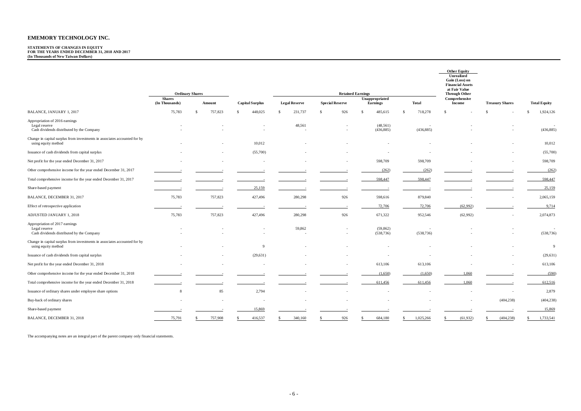## **STATEMENTS OF CHANGES IN EQUITY FOR THE YEARS ENDED DECEMBER 31, 2018 AND 2017 (In Thousands of New Taiwan Dollars)**

|                                                                                                  |                                 |         |                        |                          |                        |                            |                                        | <b>Other Equity</b><br>Unrealized<br>Gain (Loss) on<br><b>Financial Assets</b><br>at Fair Value |                        |                      |
|--------------------------------------------------------------------------------------------------|---------------------------------|---------|------------------------|--------------------------|------------------------|----------------------------|----------------------------------------|-------------------------------------------------------------------------------------------------|------------------------|----------------------|
|                                                                                                  | <b>Ordinary Shares</b>          |         |                        |                          |                        | <b>Retained Earnings</b>   |                                        | <b>Through Other</b>                                                                            |                        |                      |
|                                                                                                  | <b>Shares</b><br>(In Thousands) | Amount  | <b>Capital Surplus</b> | <b>Legal Reserve</b>     | <b>Special Reserve</b> | Unappropriated<br>Earnings | <b>Total</b>                           | Comprehensive<br>Income                                                                         | <b>Treasury Shares</b> | <b>Total Equity</b>  |
| BALANCE, JANUARY 1, 2017                                                                         | 75,783                          | 757,823 | 448,025<br>\$          | 231,737<br>$\mathcal{S}$ | 926<br>- \$            | 485,615<br>$\mathcal{S}$   | 718,278<br>\$.                         |                                                                                                 | -S                     | 1,924,126<br>\$.     |
| Appropriation of 2016 earnings<br>Legal reserve<br>Cash dividends distributed by the Company     |                                 |         |                        | 48,561                   |                        | (48, 561)<br>(436, 885)    | $\sim$<br>(436, 885)                   |                                                                                                 |                        | (436, 885)           |
| Change in capital surplus from investments in associates accounted for by<br>using equity method |                                 |         | 10,012                 |                          |                        |                            |                                        |                                                                                                 |                        | 10,012               |
| Issuance of cash dividends from capital surplus                                                  |                                 |         | (55,700)               |                          |                        |                            |                                        |                                                                                                 |                        | (55,700)             |
| Net profit for the year ended December 31, 2017                                                  |                                 |         |                        |                          |                        | 598,709                    | 598,709                                |                                                                                                 |                        | 598,709              |
| Other comprehensive income for the year ended December 31, 2017                                  |                                 |         |                        |                          |                        | (262)                      | (262)                                  |                                                                                                 |                        | (262)                |
| Total comprehensive income for the year ended December 31, 2017                                  |                                 |         |                        |                          |                        | 598,447                    | 598,447                                |                                                                                                 |                        | 598,447              |
| Share-based payment                                                                              |                                 |         | 25,159                 |                          |                        |                            |                                        |                                                                                                 |                        | 25,159               |
| BALANCE, DECEMBER 31, 2017                                                                       | 75,783                          | 757,823 | 427,496                | 280,298                  | 926                    | 598,616                    | 879,840                                | $\sim$                                                                                          |                        | 2,065,159            |
| Effect of retrospective application                                                              |                                 |         |                        |                          |                        | 72,706                     | 72,706                                 | (62,992)                                                                                        |                        | 9,714                |
| ADJUSTED JANUARY 1, 2018                                                                         | 75,783                          | 757,823 | 427,496                | 280,298                  | 926                    | 671,322                    | 952,546                                | (62,992)                                                                                        |                        | 2,074,873            |
| Appropriation of 2017 earnings<br>Legal reserve<br>Cash dividends distributed by the Company     |                                 |         |                        | 59,862                   |                        | (59, 862)<br>(538, 736)    | $\overline{\phantom{a}}$<br>(538, 736) |                                                                                                 |                        | $\sim$<br>(538, 736) |
| Change in capital surplus from investments in associates accounted for by<br>using equity method |                                 |         | 9                      |                          |                        |                            |                                        |                                                                                                 |                        | 9                    |
| Issuance of cash dividends from capital surplus                                                  |                                 |         | (29, 631)              |                          |                        |                            |                                        |                                                                                                 |                        | (29, 631)            |
| Net profit for the year ended December 31, 2018                                                  |                                 |         |                        |                          |                        | 613,106                    | 613,106                                |                                                                                                 |                        | 613,106              |
| Other comprehensive income for the year ended December 31, 2018                                  |                                 |         |                        |                          |                        | (1,650)                    | (1,650)                                | 1,060                                                                                           |                        | (590)                |
| Total comprehensive income for the year ended December 31, 2018                                  |                                 |         |                        |                          |                        | 611,456                    | 611,456                                | 1,060                                                                                           |                        | 612,516              |
| Issuance of ordinary shares under employee share options                                         | 8                               | 85      | 2,794                  |                          |                        |                            |                                        |                                                                                                 | $\sim$                 | 2,879                |
| Buy-back of ordinary shares                                                                      |                                 |         | $\sim$                 |                          |                        |                            |                                        |                                                                                                 | (404, 238)             | (404, 238)           |
| Share-based payment                                                                              |                                 |         | 15,869                 |                          |                        |                            |                                        |                                                                                                 |                        | 15,869               |
| BALANCE, DECEMBER 31, 2018                                                                       | 75,791                          | 757,908 | 416,537                | 340,160                  | 926                    | 684,180                    | 1,025,266<br>-S                        | (61, 932)                                                                                       | (404, 238)             | 1,733,541            |

The accompanying notes are an integral part of the parent company only financial statements.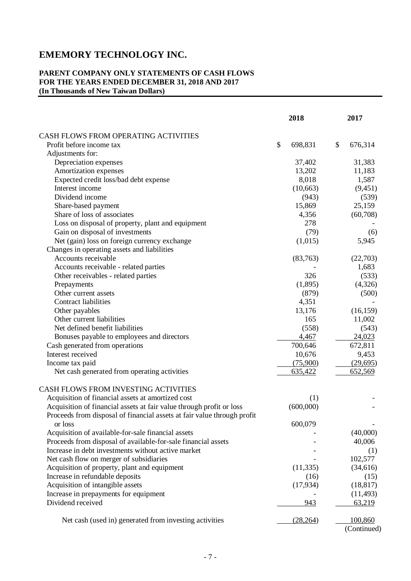#### **PARENT COMPANY ONLY STATEMENTS OF CASH FLOWS FOR THE YEARS ENDED DECEMBER 31, 2018 AND 2017 (In Thousands of New Taiwan Dollars)**

|                                                                         | 2018          | 2017          |
|-------------------------------------------------------------------------|---------------|---------------|
| CASH FLOWS FROM OPERATING ACTIVITIES                                    |               |               |
| Profit before income tax                                                | \$<br>698,831 | \$<br>676,314 |
| Adjustments for:                                                        |               |               |
| Depreciation expenses                                                   | 37,402        | 31,383        |
| Amortization expenses                                                   | 13,202        | 11,183        |
| Expected credit loss/bad debt expense                                   | 8,018         | 1,587         |
| Interest income                                                         | (10, 663)     | (9, 451)      |
| Dividend income                                                         | (943)         | (539)         |
| Share-based payment                                                     | 15,869        | 25,159        |
| Share of loss of associates                                             | 4,356         | (60,708)      |
| Loss on disposal of property, plant and equipment                       | 278           |               |
| Gain on disposal of investments                                         | (79)          | (6)           |
| Net (gain) loss on foreign currency exchange                            | (1,015)       | 5,945         |
| Changes in operating assets and liabilities                             |               |               |
| Accounts receivable                                                     | (83,763)      | (22,703)      |
| Accounts receivable - related parties                                   |               | 1,683         |
| Other receivables - related parties                                     | 326           | (533)         |
| Prepayments                                                             | (1,895)       | (4,326)       |
| Other current assets                                                    | (879)         | (500)         |
| Contract liabilities                                                    | 4,351         |               |
| Other payables                                                          | 13,176        | (16, 159)     |
| Other current liabilities                                               | 165           | 11,002        |
| Net defined benefit liabilities                                         | (558)         | (543)         |
| Bonuses payable to employees and directors                              | 4,467         | 24,023        |
| Cash generated from operations                                          | 700,646       | 672,811       |
| Interest received                                                       | 10,676        | 9,453         |
| Income tax paid                                                         | (75,900)      | (29,695)      |
| Net cash generated from operating activities                            | 635,422       | 652,569       |
| CASH FLOWS FROM INVESTING ACTIVITIES                                    |               |               |
| Acquisition of financial assets at amortized cost                       | (1)           |               |
| Acquisition of financial assets at fair value through profit or loss    | (600,000)     |               |
| Proceeds from disposal of financial assets at fair value through profit |               |               |
| or loss                                                                 | 600,079       |               |
| Acquisition of available-for-sale financial assets                      |               | (40,000)      |
| Proceeds from disposal of available-for-sale financial assets           |               | 40,006        |
| Increase in debt investments without active market                      |               | (1)           |
| Net cash flow on merger of subsidiaries                                 |               | 102,577       |
| Acquisition of property, plant and equipment                            | (11, 335)     | (34, 616)     |
| Increase in refundable deposits                                         | (16)          | (15)          |
| Acquisition of intangible assets                                        | (17, 934)     | (18, 817)     |
| Increase in prepayments for equipment                                   |               | (11, 493)     |
| Dividend received                                                       | 943           | 63,219        |
| Net cash (used in) generated from investing activities                  | (28, 264)     | 100,860       |
|                                                                         |               | (Continued)   |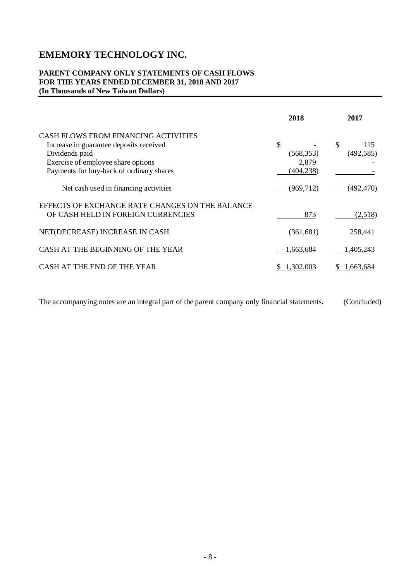#### **PARENT COMPANY ONLY STATEMENTS OF CASH FLOWS FOR THE YEARS ENDED DECEMBER 31, 2018 AND 2017 (In Thousands of New Taiwan Dollars)**

|                                                                                                                                         | 2018                          | 2017                    |
|-----------------------------------------------------------------------------------------------------------------------------------------|-------------------------------|-------------------------|
| CASH FLOWS FROM FINANCING ACTIVITIES<br>Increase in guarantee deposits received<br>Dividends paid<br>Exercise of employee share options | \$<br>(568, 353)<br>2,879     | \$<br>115<br>(492, 585) |
| Payments for buy-back of ordinary shares<br>Net cash used in financing activities<br>EFFECTS OF EXCHANGE RATE CHANGES ON THE BALANCE    | (404, 238)<br>(969, 712)      | (492,470)               |
| OF CASH HELD IN FOREIGN CURRENCIES<br>NET(DECREASE) INCREASE IN CASH                                                                    | 873<br>(361, 681)             | (2,518)<br>258,441      |
| CASH AT THE BEGINNING OF THE YEAR<br>CASH AT THE END OF THE YEAR                                                                        | 1,663,684<br>.3 <u>02,003</u> | 1,405,243<br>.663.684   |
|                                                                                                                                         |                               |                         |

The accompanying notes are an integral part of the parent company only financial statements. (Concluded)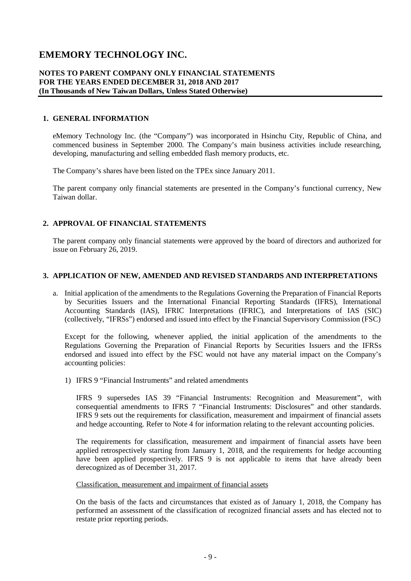#### **NOTES TO PARENT COMPANY ONLY FINANCIAL STATEMENTS FOR THE YEARS ENDED DECEMBER 31, 2018 AND 2017 (In Thousands of New Taiwan Dollars, Unless Stated Otherwise)**

#### **1. GENERAL INFORMATION**

eMemory Technology Inc. (the "Company") was incorporated in Hsinchu City, Republic of China, and commenced business in September 2000. The Company's main business activities include researching, developing, manufacturing and selling embedded flash memory products, etc.

The Company's shares have been listed on the TPEx since January 2011.

The parent company only financial statements are presented in the Company's functional currency, New Taiwan dollar.

#### **2. APPROVAL OF FINANCIAL STATEMENTS**

The parent company only financial statements were approved by the board of directors and authorized for issue on February 26, 2019.

#### **3. APPLICATION OF NEW, AMENDED AND REVISED STANDARDS AND INTERPRETATIONS**

a. Initial application of the amendments to the Regulations Governing the Preparation of Financial Reports by Securities Issuers and the International Financial Reporting Standards (IFRS), International Accounting Standards (IAS), IFRIC Interpretations (IFRIC), and Interpretations of IAS (SIC) (collectively, "IFRSs") endorsed and issued into effect by the Financial Supervisory Commission (FSC)

Except for the following, whenever applied, the initial application of the amendments to the Regulations Governing the Preparation of Financial Reports by Securities Issuers and the IFRSs endorsed and issued into effect by the FSC would not have any material impact on the Company's accounting policies:

1) IFRS 9 "Financial Instruments" and related amendments

IFRS 9 supersedes IAS 39 "Financial Instruments: Recognition and Measurement", with consequential amendments to IFRS 7 "Financial Instruments: Disclosures" and other standards. IFRS 9 sets out the requirements for classification, measurement and impairment of financial assets and hedge accounting. Refer to Note 4 for information relating to the relevant accounting policies.

The requirements for classification, measurement and impairment of financial assets have been applied retrospectively starting from January 1, 2018, and the requirements for hedge accounting have been applied prospectively. IFRS 9 is not applicable to items that have already been derecognized as of December 31, 2017.

Classification, measurement and impairment of financial assets

On the basis of the facts and circumstances that existed as of January 1, 2018, the Company has performed an assessment of the classification of recognized financial assets and has elected not to restate prior reporting periods.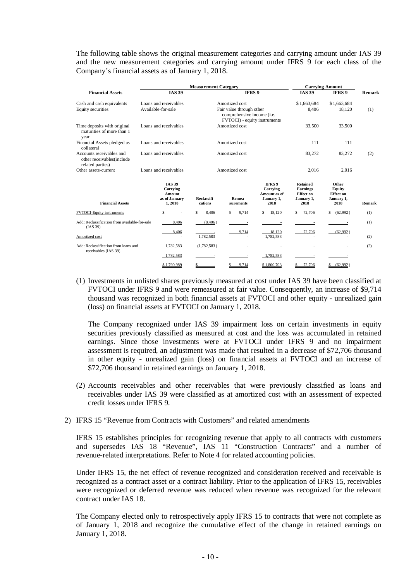The following table shows the original measurement categories and carrying amount under IAS 39 and the new measurement categories and carrying amount under IFRS 9 for each class of the Company's financial assets as of January 1, 2018.

|                                                                           |                                                                       | <b>Measurement Category</b> |                                                                                                          |                                                                 |                                                                       | <b>Carrying Amount</b>                                    |        |
|---------------------------------------------------------------------------|-----------------------------------------------------------------------|-----------------------------|----------------------------------------------------------------------------------------------------------|-----------------------------------------------------------------|-----------------------------------------------------------------------|-----------------------------------------------------------|--------|
| <b>Financial Assets</b>                                                   | <b>IAS 39</b>                                                         |                             | IFRS 9                                                                                                   |                                                                 | <b>IAS 39</b>                                                         | <b>IFRS 9</b>                                             | Remark |
| Cash and cash equivalents<br>Equity securities                            | Loans and receivables<br>Available-for-sale                           |                             | Amortized cost<br>Fair value through other<br>comprehensive income (i.e.<br>FVTOCI) - equity instruments |                                                                 | \$1,663,684<br>8,406                                                  | \$1,663,684<br>18,120                                     | (1)    |
| Time deposits with original<br>maturities of more than 1<br>year          | Loans and receivables                                                 |                             | Amortized cost                                                                                           |                                                                 | 33,500                                                                | 33,500                                                    |        |
| Financial Assets pledged as<br>collateral                                 | Loans and receivables                                                 |                             | Amortized cost                                                                                           |                                                                 | 111                                                                   | 111                                                       |        |
| Accounts receivables and<br>other receivables(include<br>related parties) | Loans and receivables                                                 |                             | Amortized cost                                                                                           |                                                                 | 83,272                                                                | 83,272                                                    | (2)    |
| Other assets-current                                                      | Loans and receivables                                                 |                             | Amortized cost                                                                                           |                                                                 | 2,016                                                                 | 2,016                                                     |        |
| <b>Financial Assets</b>                                                   | <b>IAS 39</b><br><b>Carrying</b><br>Amount<br>as of January<br>1,2018 | Reclassifi-<br>cations      | Remea-<br>surements                                                                                      | <b>IFRS 9</b><br>Carrying<br>Amount as of<br>January 1,<br>2018 | <b>Retained</b><br><b>Earnings</b><br>Effect on<br>January 1,<br>2018 | Other<br>Equity<br><b>Effect on</b><br>January 1,<br>2018 | Remark |
| FVTOCI-Equity instruments                                                 | S                                                                     | Ŝ<br>8.406                  | \$<br>9.714                                                                                              | 18.120<br>\$                                                    | \$<br>72,706                                                          | \$<br>(62,992)                                            | (1)    |
| Add: Reclassification from available-for-sale<br>(IAS 39)                 | 8,406                                                                 | (8, 406)                    |                                                                                                          |                                                                 |                                                                       |                                                           | (1)    |
| Amortized cost                                                            | 8,406                                                                 | 1.782.583                   | 9,714                                                                                                    | 18,120<br>1.782.583                                             | 72,706                                                                | (62,992)                                                  | (2)    |
| Add: Reclassification from loans and<br>receivables (IAS 39)              | 1.782.583                                                             | (1,782,583)                 | $\sim$                                                                                                   | $\sim$                                                          |                                                                       |                                                           | (2)    |
|                                                                           | 1,782,583                                                             | $\sim$                      | $\sim$                                                                                                   | 1,782,583                                                       | $\overline{\phantom{a}}$                                              |                                                           |        |
|                                                                           | \$1,790,989                                                           | S.<br>÷.                    | 9.714<br>\$                                                                                              | \$1,800,703                                                     | 72,706<br>\$                                                          | (62.992)<br>\$                                            |        |

(1) Investments in unlisted shares previously measured at cost under IAS 39 have been classified at FVTOCI under IFRS 9 and were remeasured at fair value. Consequently, an increase of \$9,714 thousand was recognized in both financial assets at FVTOCI and other equity - unrealized gain (loss) on financial assets at FVTOCI on January 1, 2018.

The Company recognized under IAS 39 impairment loss on certain investments in equity securities previously classified as measured at cost and the loss was accumulated in retained earnings. Since those investments were at FVTOCI under IFRS 9 and no impairment assessment is required, an adjustment was made that resulted in a decrease of \$72,706 thousand in other equity - unrealized gain (loss) on financial assets at FVTOCI and an increase of \$72,706 thousand in retained earnings on January 1, 2018.

- (2) Accounts receivables and other receivables that were previously classified as loans and receivables under IAS 39 were classified as at amortized cost with an assessment of expected credit losses under IFRS 9.
- 2) IFRS 15 "Revenue from Contracts with Customers" and related amendments

IFRS 15 establishes principles for recognizing revenue that apply to all contracts with customers and supersedes IAS 18 "Revenue", IAS 11 "Construction Contracts" and a number of revenue-related interpretations. Refer to Note 4 for related accounting policies.

Under IFRS 15, the net effect of revenue recognized and consideration received and receivable is recognized as a contract asset or a contract liability. Prior to the application of IFRS 15, receivables were recognized or deferred revenue was reduced when revenue was recognized for the relevant contract under IAS 18.

The Company elected only to retrospectively apply IFRS 15 to contracts that were not complete as of January 1, 2018 and recognize the cumulative effect of the change in retained earnings on January 1, 2018.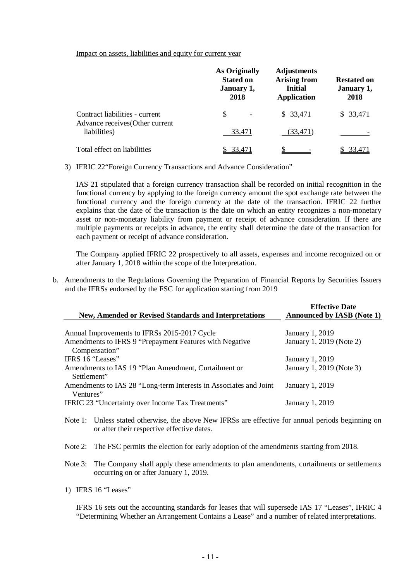Impact on assets, liabilities and equity for current year

|                                                                   | <b>As Originally</b><br><b>Stated on</b><br>January 1,<br>2018 | <b>Adjustments</b><br><b>Arising from</b><br><b>Initial</b><br><b>Application</b> | <b>Restated on</b><br>January 1,<br>2018 |
|-------------------------------------------------------------------|----------------------------------------------------------------|-----------------------------------------------------------------------------------|------------------------------------------|
| Contract liabilities - current<br>Advance receives (Other current | S                                                              | \$33,471                                                                          | \$33,471                                 |
| liabilities)                                                      | 33.471                                                         | (33, 471)                                                                         |                                          |
| Total effect on liabilities                                       | 33,471                                                         |                                                                                   | 33.471                                   |

3) IFRIC 22"Foreign Currency Transactions and Advance Consideration"

IAS 21 stipulated that a foreign currency transaction shall be recorded on initial recognition in the functional currency by applying to the foreign currency amount the spot exchange rate between the functional currency and the foreign currency at the date of the transaction. IFRIC 22 further explains that the date of the transaction is the date on which an entity recognizes a non-monetary asset or non-monetary liability from payment or receipt of advance consideration. If there are multiple payments or receipts in advance, the entity shall determine the date of the transaction for each payment or receipt of advance consideration.

The Company applied IFRIC 22 prospectively to all assets, expenses and income recognized on or after January 1, 2018 within the scope of the Interpretation.

b. Amendments to the Regulations Governing the Preparation of Financial Reports by Securities Issuers and the IFRSs endorsed by the FSC for application starting from 2019

| <b>New, Amended or Revised Standards and Interpretations</b>                   | <b>Effective Date</b><br><b>Announced by IASB (Note 1)</b> |
|--------------------------------------------------------------------------------|------------------------------------------------------------|
|                                                                                |                                                            |
| Annual Improvements to IFRSs 2015-2017 Cycle                                   | January 1, 2019                                            |
| Amendments to IFRS 9 "Prepayment Features with Negative                        | January 1, 2019 (Note 2)                                   |
| Compensation"                                                                  |                                                            |
| IFRS 16 "Leases"                                                               | January 1, 2019                                            |
| Amendments to IAS 19 "Plan Amendment, Curtailment or<br>Settlement"            | January 1, 2019 (Note 3)                                   |
| Amendments to IAS 28 "Long-term Interests in Associates and Joint<br>Ventures" | January 1, 2019                                            |
| <b>IFRIC 23 "Uncertainty over Income Tax Treatments"</b>                       | January 1, 2019                                            |

- Note 1: Unless stated otherwise, the above New IFRSs are effective for annual periods beginning on or after their respective effective dates.
- Note 2: The FSC permits the election for early adoption of the amendments starting from 2018.
- Note 3: The Company shall apply these amendments to plan amendments, curtailments or settlements occurring on or after January 1, 2019.
- 1) IFRS 16 "Leases"

IFRS 16 sets out the accounting standards for leases that will supersede IAS 17 "Leases", IFRIC 4 "Determining Whether an Arrangement Contains a Lease" and a number of related interpretations.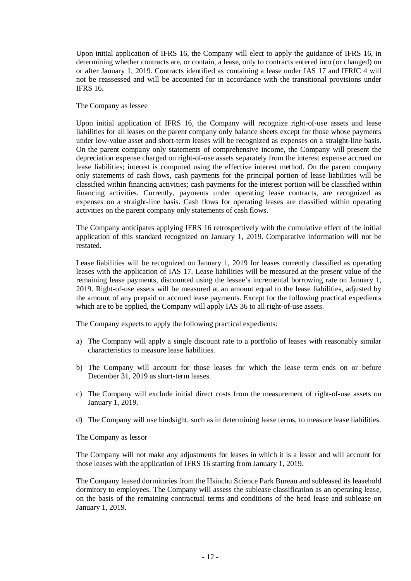Upon initial application of IFRS 16, the Company will elect to apply the guidance of IFRS 16, in determining whether contracts are, or contain, a lease, only to contracts entered into (or changed) on or after January 1, 2019. Contracts identified as containing a lease under IAS 17 and IFRIC 4 will not be reassessed and will be accounted for in accordance with the transitional provisions under IFRS 16.

#### The Company as lessee

Upon initial application of IFRS 16, the Company will recognize right-of-use assets and lease liabilities for all leases on the parent company only balance sheets except for those whose payments under low-value asset and short-term leases will be recognized as expenses on a straight-line basis. On the parent company only statements of comprehensive income, the Company will present the depreciation expense charged on right-of-use assets separately from the interest expense accrued on lease liabilities; interest is computed using the effective interest method. On the parent company only statements of cash flows, cash payments for the principal portion of lease liabilities will be classified within financing activities; cash payments for the interest portion will be classified within financing activities. Currently, payments under operating lease contracts, are recognized as expenses on a straight-line basis. Cash flows for operating leases are classified within operating activities on the parent company only statements of cash flows.

The Company anticipates applying IFRS 16 retrospectively with the cumulative effect of the initial application of this standard recognized on January 1, 2019. Comparative information will not be restated.

Lease liabilities will be recognized on January 1, 2019 for leases currently classified as operating leases with the application of IAS 17. Lease liabilities will be measured at the present value of the remaining lease payments, discounted using the lessee's incremental borrowing rate on January 1, 2019. Right-of-use assets will be measured at an amount equal to the lease liabilities, adjusted by the amount of any prepaid or accrued lease payments. Except for the following practical expedients which are to be applied, the Company will apply IAS 36 to all right-of-use assets.

The Company expects to apply the following practical expedients:

- a) The Company will apply a single discount rate to a portfolio of leases with reasonably similar characteristics to measure lease liabilities.
- b) The Company will account for those leases for which the lease term ends on or before December 31, 2019 as short-term leases.
- c) The Company will exclude initial direct costs from the measurement of right-of-use assets on January 1, 2019.
- d) The Company will use hindsight, such as in determining lease terms, to measure lease liabilities.

#### The Company as lessor

The Company will not make any adjustments for leases in which it is a lessor and will account for those leases with the application of IFRS 16 starting from January 1, 2019.

The Company leased dormitories from the Hsinchu Science Park Bureau and subleased its leasehold dormitory to employees. The Company will assess the sublease classification as an operating lease, on the basis of the remaining contractual terms and conditions of the head lease and sublease on January 1, 2019.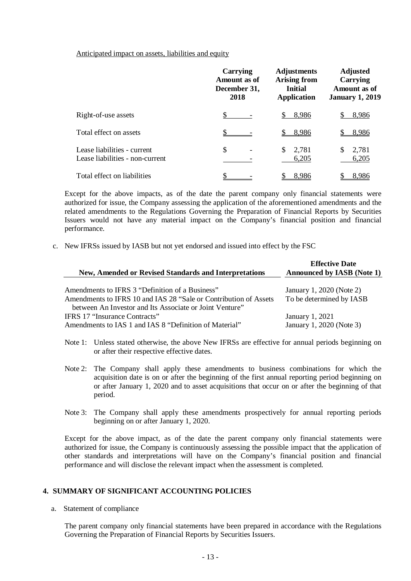Anticipated impact on assets, liabilities and equity

|                                                                | Carrying<br>Amount as of<br>December 31,<br>2018 | <b>Adjustments</b><br><b>Arising from</b><br><b>Initial</b><br><b>Application</b> | <b>Adjusted</b><br>Carrying<br>Amount as of<br><b>January 1, 2019</b> |
|----------------------------------------------------------------|--------------------------------------------------|-----------------------------------------------------------------------------------|-----------------------------------------------------------------------|
| Right-of-use assets                                            | \$                                               | 8,986                                                                             | 8,986                                                                 |
| Total effect on assets                                         |                                                  | 8,986                                                                             | 8,986                                                                 |
| Lease liabilities - current<br>Lease liabilities - non-current | \$                                               | 2,781<br>S<br>6,205                                                               | 2,781<br>6,205                                                        |
| Total effect on liabilities                                    |                                                  | 8,986                                                                             | 8,986                                                                 |

Except for the above impacts, as of the date the parent company only financial statements were authorized for issue, the Company assessing the application of the aforementioned amendments and the related amendments to the Regulations Governing the Preparation of Financial Reports by Securities Issuers would not have any material impact on the Company's financial position and financial performance.

c. New IFRSs issued by IASB but not yet endorsed and issued into effect by the FSC

| <b>New, Amended or Revised Standards and Interpretations</b>                                                                | <b>Effective Date</b><br><b>Announced by IASB (Note 1)</b> |
|-----------------------------------------------------------------------------------------------------------------------------|------------------------------------------------------------|
| Amendments to IFRS 3 "Definition of a Business"                                                                             | January 1, 2020 (Note 2)                                   |
| Amendments to IFRS 10 and IAS 28 "Sale or Contribution of Assets<br>between An Investor and Its Associate or Joint Venture" | To be determined by IASB                                   |
| <b>IFRS 17 "Insurance Contracts"</b><br>Amendments to IAS 1 and IAS 8 "Definition of Material"                              | January 1, 2021<br>January 1, 2020 (Note 3)                |

- Note 1: Unless stated otherwise, the above New IFRSs are effective for annual periods beginning on or after their respective effective dates.
- Note 2: The Company shall apply these amendments to business combinations for which the acquisition date is on or after the beginning of the first annual reporting period beginning on or after January 1, 2020 and to asset acquisitions that occur on or after the beginning of that period.
- Note 3: The Company shall apply these amendments prospectively for annual reporting periods beginning on or after January 1, 2020.

Except for the above impact, as of the date the parent company only financial statements were authorized for issue, the Company is continuously assessing the possible impact that the application of other standards and interpretations will have on the Company's financial position and financial performance and will disclose the relevant impact when the assessment is completed.

#### **4. SUMMARY OF SIGNIFICANT ACCOUNTING POLICIES**

a. Statement of compliance

The parent company only financial statements have been prepared in accordance with the Regulations Governing the Preparation of Financial Reports by Securities Issuers.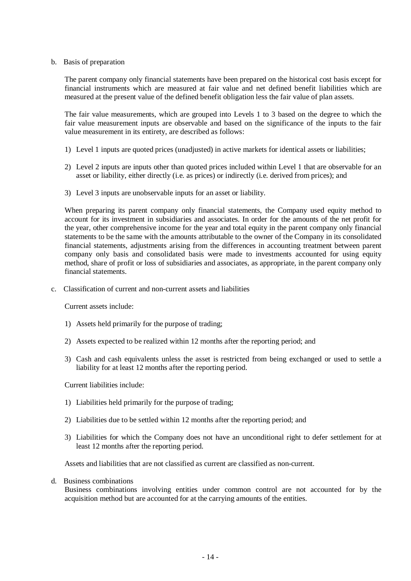#### b. Basis of preparation

The parent company only financial statements have been prepared on the historical cost basis except for financial instruments which are measured at fair value and net defined benefit liabilities which are measured at the present value of the defined benefit obligation less the fair value of plan assets.

The fair value measurements, which are grouped into Levels 1 to 3 based on the degree to which the fair value measurement inputs are observable and based on the significance of the inputs to the fair value measurement in its entirety, are described as follows:

- 1) Level 1 inputs are quoted prices (unadjusted) in active markets for identical assets or liabilities;
- 2) Level 2 inputs are inputs other than quoted prices included within Level 1 that are observable for an asset or liability, either directly (i.e. as prices) or indirectly (i.e. derived from prices); and
- 3) Level 3 inputs are unobservable inputs for an asset or liability.

When preparing its parent company only financial statements, the Company used equity method to account for its investment in subsidiaries and associates. In order for the amounts of the net profit for the year, other comprehensive income for the year and total equity in the parent company only financial statements to be the same with the amounts attributable to the owner of the Company in its consolidated financial statements, adjustments arising from the differences in accounting treatment between parent company only basis and consolidated basis were made to investments accounted for using equity method, share of profit or loss of subsidiaries and associates, as appropriate, in the parent company only financial statements.

c. Classification of current and non-current assets and liabilities

Current assets include:

- 1) Assets held primarily for the purpose of trading;
- 2) Assets expected to be realized within 12 months after the reporting period; and
- 3) Cash and cash equivalents unless the asset is restricted from being exchanged or used to settle a liability for at least 12 months after the reporting period.

Current liabilities include:

- 1) Liabilities held primarily for the purpose of trading;
- 2) Liabilities due to be settled within 12 months after the reporting period; and
- 3) Liabilities for which the Company does not have an unconditional right to defer settlement for at least 12 months after the reporting period.

Assets and liabilities that are not classified as current are classified as non-current.

d. Business combinations

Business combinations involving entities under common control are not accounted for by the acquisition method but are accounted for at the carrying amounts of the entities.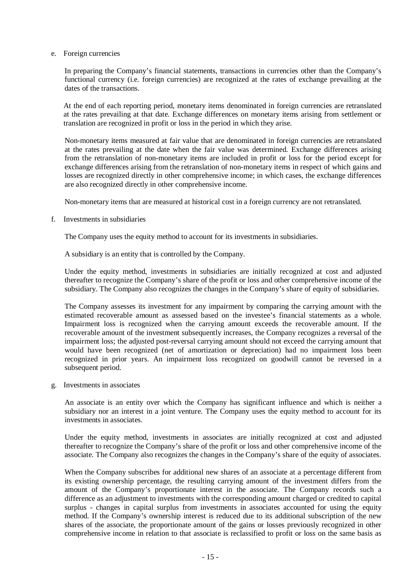e. Foreign currencies

In preparing the Company's financial statements, transactions in currencies other than the Company's functional currency (i.e. foreign currencies) are recognized at the rates of exchange prevailing at the dates of the transactions.

At the end of each reporting period, monetary items denominated in foreign currencies are retranslated at the rates prevailing at that date. Exchange differences on monetary items arising from settlement or translation are recognized in profit or loss in the period in which they arise.

Non-monetary items measured at fair value that are denominated in foreign currencies are retranslated at the rates prevailing at the date when the fair value was determined. Exchange differences arising from the retranslation of non-monetary items are included in profit or loss for the period except for exchange differences arising from the retranslation of non-monetary items in respect of which gains and losses are recognized directly in other comprehensive income; in which cases, the exchange differences are also recognized directly in other comprehensive income.

Non-monetary items that are measured at historical cost in a foreign currency are not retranslated.

f. Investments in subsidiaries

The Company uses the equity method to account for its investments in subsidiaries.

A subsidiary is an entity that is controlled by the Company.

Under the equity method, investments in subsidiaries are initially recognized at cost and adjusted thereafter to recognize the Company's share of the profit or loss and other comprehensive income of the subsidiary. The Company also recognizes the changes in the Company's share of equity of subsidiaries.

The Company assesses its investment for any impairment by comparing the carrying amount with the estimated recoverable amount as assessed based on the investee's financial statements as a whole. Impairment loss is recognized when the carrying amount exceeds the recoverable amount. If the recoverable amount of the investment subsequently increases, the Company recognizes a reversal of the impairment loss; the adjusted post-reversal carrying amount should not exceed the carrying amount that would have been recognized (net of amortization or depreciation) had no impairment loss been recognized in prior years. An impairment loss recognized on goodwill cannot be reversed in a subsequent period.

g. Investments in associates

An associate is an entity over which the Company has significant influence and which is neither a subsidiary nor an interest in a joint venture. The Company uses the equity method to account for its investments in associates.

Under the equity method, investments in associates are initially recognized at cost and adjusted thereafter to recognize the Company's share of the profit or loss and other comprehensive income of the associate. The Company also recognizes the changes in the Company's share of the equity of associates.

When the Company subscribes for additional new shares of an associate at a percentage different from its existing ownership percentage, the resulting carrying amount of the investment differs from the amount of the Company's proportionate interest in the associate. The Company records such a difference as an adjustment to investments with the corresponding amount charged or credited to capital surplus - changes in capital surplus from investments in associates accounted for using the equity method. If the Company's ownership interest is reduced due to its additional subscription of the new shares of the associate, the proportionate amount of the gains or losses previously recognized in other comprehensive income in relation to that associate is reclassified to profit or loss on the same basis as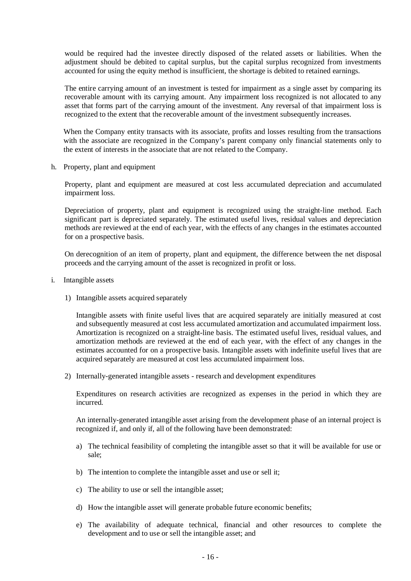would be required had the investee directly disposed of the related assets or liabilities. When the adjustment should be debited to capital surplus, but the capital surplus recognized from investments accounted for using the equity method is insufficient, the shortage is debited to retained earnings.

The entire carrying amount of an investment is tested for impairment as a single asset by comparing its recoverable amount with its carrying amount. Any impairment loss recognized is not allocated to any asset that forms part of the carrying amount of the investment. Any reversal of that impairment loss is recognized to the extent that the recoverable amount of the investment subsequently increases.

When the Company entity transacts with its associate, profits and losses resulting from the transactions with the associate are recognized in the Company's parent company only financial statements only to the extent of interests in the associate that are not related to the Company.

h. Property, plant and equipment

Property, plant and equipment are measured at cost less accumulated depreciation and accumulated impairment loss.

Depreciation of property, plant and equipment is recognized using the straight-line method. Each significant part is depreciated separately. The estimated useful lives, residual values and depreciation methods are reviewed at the end of each year, with the effects of any changes in the estimates accounted for on a prospective basis.

On derecognition of an item of property, plant and equipment, the difference between the net disposal proceeds and the carrying amount of the asset is recognized in profit or loss.

- i. Intangible assets
	- 1) Intangible assets acquired separately

Intangible assets with finite useful lives that are acquired separately are initially measured at cost and subsequently measured at cost less accumulated amortization and accumulated impairment loss. Amortization is recognized on a straight-line basis. The estimated useful lives, residual values, and amortization methods are reviewed at the end of each year, with the effect of any changes in the estimates accounted for on a prospective basis. Intangible assets with indefinite useful lives that are acquired separately are measured at cost less accumulated impairment loss.

2) Internally-generated intangible assets - research and development expenditures

Expenditures on research activities are recognized as expenses in the period in which they are incurred.

An internally-generated intangible asset arising from the development phase of an internal project is recognized if, and only if, all of the following have been demonstrated:

- a) The technical feasibility of completing the intangible asset so that it will be available for use or sale;
- b) The intention to complete the intangible asset and use or sell it;
- c) The ability to use or sell the intangible asset;
- d) How the intangible asset will generate probable future economic benefits;
- e) The availability of adequate technical, financial and other resources to complete the development and to use or sell the intangible asset; and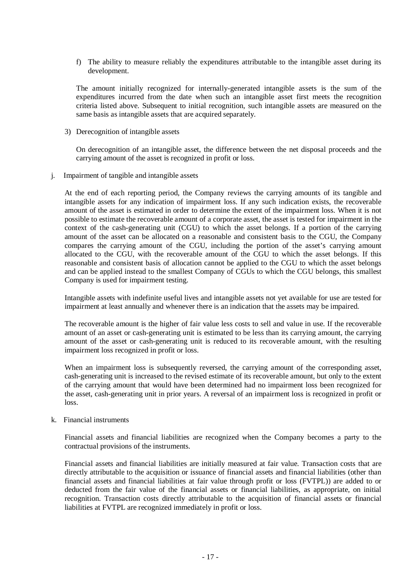f) The ability to measure reliably the expenditures attributable to the intangible asset during its development.

The amount initially recognized for internally-generated intangible assets is the sum of the expenditures incurred from the date when such an intangible asset first meets the recognition criteria listed above. Subsequent to initial recognition, such intangible assets are measured on the same basis as intangible assets that are acquired separately.

3) Derecognition of intangible assets

On derecognition of an intangible asset, the difference between the net disposal proceeds and the carrying amount of the asset is recognized in profit or loss.

j. Impairment of tangible and intangible assets

At the end of each reporting period, the Company reviews the carrying amounts of its tangible and intangible assets for any indication of impairment loss. If any such indication exists, the recoverable amount of the asset is estimated in order to determine the extent of the impairment loss. When it is not possible to estimate the recoverable amount of a corporate asset, the asset is tested for impairment in the context of the cash-generating unit (CGU) to which the asset belongs. If a portion of the carrying amount of the asset can be allocated on a reasonable and consistent basis to the CGU, the Company compares the carrying amount of the CGU, including the portion of the asset's carrying amount allocated to the CGU, with the recoverable amount of the CGU to which the asset belongs. If this reasonable and consistent basis of allocation cannot be applied to the CGU to which the asset belongs and can be applied instead to the smallest Company of CGUs to which the CGU belongs, this smallest Company is used for impairment testing.

Intangible assets with indefinite useful lives and intangible assets not yet available for use are tested for impairment at least annually and whenever there is an indication that the assets may be impaired.

The recoverable amount is the higher of fair value less costs to sell and value in use. If the recoverable amount of an asset or cash-generating unit is estimated to be less than its carrying amount, the carrying amount of the asset or cash-generating unit is reduced to its recoverable amount, with the resulting impairment loss recognized in profit or loss.

When an impairment loss is subsequently reversed, the carrying amount of the corresponding asset, cash-generating unit is increased to the revised estimate of its recoverable amount, but only to the extent of the carrying amount that would have been determined had no impairment loss been recognized for the asset, cash-generating unit in prior years. A reversal of an impairment loss is recognized in profit or loss.

#### k. Financial instruments

Financial assets and financial liabilities are recognized when the Company becomes a party to the contractual provisions of the instruments.

Financial assets and financial liabilities are initially measured at fair value. Transaction costs that are directly attributable to the acquisition or issuance of financial assets and financial liabilities (other than financial assets and financial liabilities at fair value through profit or loss (FVTPL)) are added to or deducted from the fair value of the financial assets or financial liabilities, as appropriate, on initial recognition. Transaction costs directly attributable to the acquisition of financial assets or financial liabilities at FVTPL are recognized immediately in profit or loss.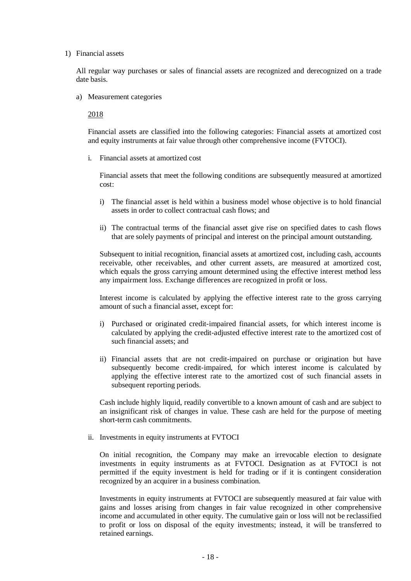#### 1) Financial assets

All regular way purchases or sales of financial assets are recognized and derecognized on a trade date basis.

a) Measurement categories

2018

Financial assets are classified into the following categories: Financial assets at amortized cost and equity instruments at fair value through other comprehensive income (FVTOCI).

i. Financial assets at amortized cost

Financial assets that meet the following conditions are subsequently measured at amortized cost:

- i) The financial asset is held within a business model whose objective is to hold financial assets in order to collect contractual cash flows; and
- ii) The contractual terms of the financial asset give rise on specified dates to cash flows that are solely payments of principal and interest on the principal amount outstanding.

Subsequent to initial recognition, financial assets at amortized cost, including cash, accounts receivable, other receivables, and other current assets, are measured at amortized cost, which equals the gross carrying amount determined using the effective interest method less any impairment loss. Exchange differences are recognized in profit or loss.

Interest income is calculated by applying the effective interest rate to the gross carrying amount of such a financial asset, except for:

- i) Purchased or originated credit-impaired financial assets, for which interest income is calculated by applying the credit-adjusted effective interest rate to the amortized cost of such financial assets; and
- ii) Financial assets that are not credit-impaired on purchase or origination but have subsequently become credit-impaired, for which interest income is calculated by applying the effective interest rate to the amortized cost of such financial assets in subsequent reporting periods.

Cash include highly liquid, readily convertible to a known amount of cash and are subject to an insignificant risk of changes in value. These cash are held for the purpose of meeting short-term cash commitments.

ii. Investments in equity instruments at FVTOCI

On initial recognition, the Company may make an irrevocable election to designate investments in equity instruments as at FVTOCI. Designation as at FVTOCI is not permitted if the equity investment is held for trading or if it is contingent consideration recognized by an acquirer in a business combination.

Investments in equity instruments at FVTOCI are subsequently measured at fair value with gains and losses arising from changes in fair value recognized in other comprehensive income and accumulated in other equity. The cumulative gain or loss will not be reclassified to profit or loss on disposal of the equity investments; instead, it will be transferred to retained earnings.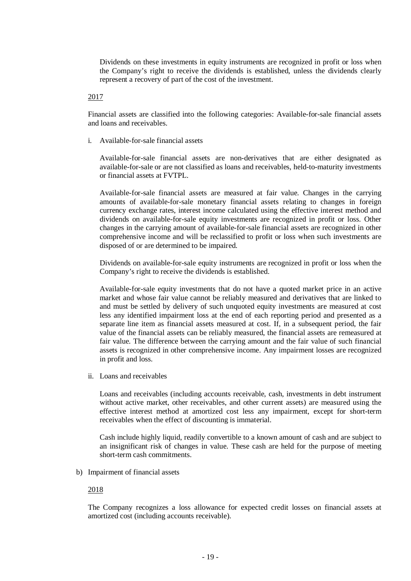Dividends on these investments in equity instruments are recognized in profit or loss when the Company's right to receive the dividends is established, unless the dividends clearly represent a recovery of part of the cost of the investment.

2017

Financial assets are classified into the following categories: Available-for-sale financial assets and loans and receivables.

i. Available-for-sale financial assets

Available-for-sale financial assets are non-derivatives that are either designated as available-for-sale or are not classified as loans and receivables, held-to-maturity investments or financial assets at FVTPL.

Available-for-sale financial assets are measured at fair value. Changes in the carrying amounts of available-for-sale monetary financial assets relating to changes in foreign currency exchange rates, interest income calculated using the effective interest method and dividends on available-for-sale equity investments are recognized in profit or loss. Other changes in the carrying amount of available-for-sale financial assets are recognized in other comprehensive income and will be reclassified to profit or loss when such investments are disposed of or are determined to be impaired.

Dividends on available-for-sale equity instruments are recognized in profit or loss when the Company's right to receive the dividends is established.

Available-for-sale equity investments that do not have a quoted market price in an active market and whose fair value cannot be reliably measured and derivatives that are linked to and must be settled by delivery of such unquoted equity investments are measured at cost less any identified impairment loss at the end of each reporting period and presented as a separate line item as financial assets measured at cost. If, in a subsequent period, the fair value of the financial assets can be reliably measured, the financial assets are remeasured at fair value. The difference between the carrying amount and the fair value of such financial assets is recognized in other comprehensive income. Any impairment losses are recognized in profit and loss.

ii. Loans and receivables

Loans and receivables (including accounts receivable, cash, investments in debt instrument without active market, other receivables, and other current assets) are measured using the effective interest method at amortized cost less any impairment, except for short-term receivables when the effect of discounting is immaterial.

Cash include highly liquid, readily convertible to a known amount of cash and are subject to an insignificant risk of changes in value. These cash are held for the purpose of meeting short-term cash commitments.

b) Impairment of financial assets

#### 2018

The Company recognizes a loss allowance for expected credit losses on financial assets at amortized cost (including accounts receivable).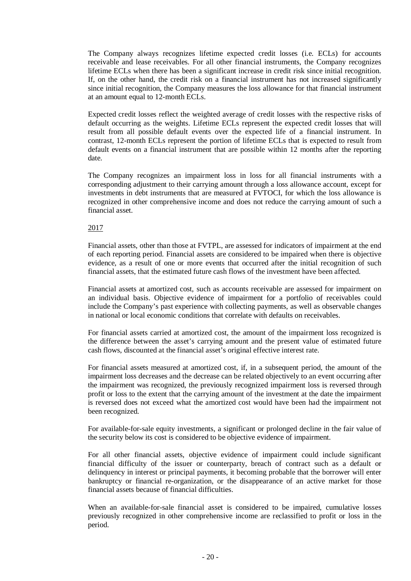The Company always recognizes lifetime expected credit losses (i.e. ECLs) for accounts receivable and lease receivables. For all other financial instruments, the Company recognizes lifetime ECLs when there has been a significant increase in credit risk since initial recognition. If, on the other hand, the credit risk on a financial instrument has not increased significantly since initial recognition, the Company measures the loss allowance for that financial instrument at an amount equal to 12-month ECLs.

Expected credit losses reflect the weighted average of credit losses with the respective risks of default occurring as the weights. Lifetime ECLs represent the expected credit losses that will result from all possible default events over the expected life of a financial instrument. In contrast, 12-month ECLs represent the portion of lifetime ECLs that is expected to result from default events on a financial instrument that are possible within 12 months after the reporting date.

The Company recognizes an impairment loss in loss for all financial instruments with a corresponding adjustment to their carrying amount through a loss allowance account, except for investments in debt instruments that are measured at FVTOCI, for which the loss allowance is recognized in other comprehensive income and does not reduce the carrying amount of such a financial asset.

#### 2017

Financial assets, other than those at FVTPL, are assessed for indicators of impairment at the end of each reporting period. Financial assets are considered to be impaired when there is objective evidence, as a result of one or more events that occurred after the initial recognition of such financial assets, that the estimated future cash flows of the investment have been affected.

Financial assets at amortized cost, such as accounts receivable are assessed for impairment on an individual basis. Objective evidence of impairment for a portfolio of receivables could include the Company's past experience with collecting payments, as well as observable changes in national or local economic conditions that correlate with defaults on receivables.

For financial assets carried at amortized cost, the amount of the impairment loss recognized is the difference between the asset's carrying amount and the present value of estimated future cash flows, discounted at the financial asset's original effective interest rate.

For financial assets measured at amortized cost, if, in a subsequent period, the amount of the impairment loss decreases and the decrease can be related objectively to an event occurring after the impairment was recognized, the previously recognized impairment loss is reversed through profit or loss to the extent that the carrying amount of the investment at the date the impairment is reversed does not exceed what the amortized cost would have been had the impairment not been recognized.

For available-for-sale equity investments, a significant or prolonged decline in the fair value of the security below its cost is considered to be objective evidence of impairment.

For all other financial assets, objective evidence of impairment could include significant financial difficulty of the issuer or counterparty, breach of contract such as a default or delinquency in interest or principal payments, it becoming probable that the borrower will enter bankruptcy or financial re-organization, or the disappearance of an active market for those financial assets because of financial difficulties.

When an available-for-sale financial asset is considered to be impaired, cumulative losses previously recognized in other comprehensive income are reclassified to profit or loss in the period.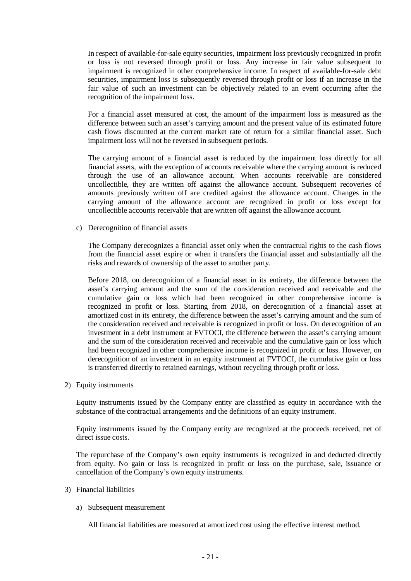In respect of available-for-sale equity securities, impairment loss previously recognized in profit or loss is not reversed through profit or loss. Any increase in fair value subsequent to impairment is recognized in other comprehensive income. In respect of available-for-sale debt securities, impairment loss is subsequently reversed through profit or loss if an increase in the fair value of such an investment can be objectively related to an event occurring after the recognition of the impairment loss.

For a financial asset measured at cost, the amount of the impairment loss is measured as the difference between such an asset's carrying amount and the present value of its estimated future cash flows discounted at the current market rate of return for a similar financial asset. Such impairment loss will not be reversed in subsequent periods.

The carrying amount of a financial asset is reduced by the impairment loss directly for all financial assets, with the exception of accounts receivable where the carrying amount is reduced through the use of an allowance account. When accounts receivable are considered uncollectible, they are written off against the allowance account. Subsequent recoveries of amounts previously written off are credited against the allowance account. Changes in the carrying amount of the allowance account are recognized in profit or loss except for uncollectible accounts receivable that are written off against the allowance account.

c) Derecognition of financial assets

The Company derecognizes a financial asset only when the contractual rights to the cash flows from the financial asset expire or when it transfers the financial asset and substantially all the risks and rewards of ownership of the asset to another party.

Before 2018, on derecognition of a financial asset in its entirety, the difference between the asset's carrying amount and the sum of the consideration received and receivable and the cumulative gain or loss which had been recognized in other comprehensive income is recognized in profit or loss. Starting from 2018, on derecognition of a financial asset at amortized cost in its entirety, the difference between the asset's carrying amount and the sum of the consideration received and receivable is recognized in profit or loss. On derecognition of an investment in a debt instrument at FVTOCI, the difference between the asset's carrying amount and the sum of the consideration received and receivable and the cumulative gain or loss which had been recognized in other comprehensive income is recognized in profit or loss. However, on derecognition of an investment in an equity instrument at FVTOCI, the cumulative gain or loss is transferred directly to retained earnings, without recycling through profit or loss.

2) Equity instruments

Equity instruments issued by the Company entity are classified as equity in accordance with the substance of the contractual arrangements and the definitions of an equity instrument.

Equity instruments issued by the Company entity are recognized at the proceeds received, net of direct issue costs.

The repurchase of the Company's own equity instruments is recognized in and deducted directly from equity. No gain or loss is recognized in profit or loss on the purchase, sale, issuance or cancellation of the Company's own equity instruments.

- 3) Financial liabilities
	- a) Subsequent measurement

All financial liabilities are measured at amortized cost using the effective interest method.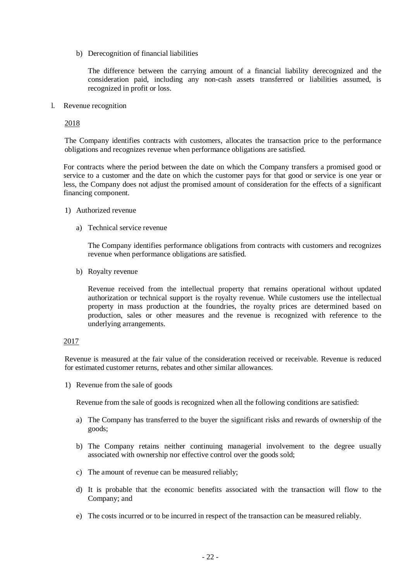b) Derecognition of financial liabilities

The difference between the carrying amount of a financial liability derecognized and the consideration paid, including any non-cash assets transferred or liabilities assumed, is recognized in profit or loss.

l. Revenue recognition

2018

The Company identifies contracts with customers, allocates the transaction price to the performance obligations and recognizes revenue when performance obligations are satisfied.

For contracts where the period between the date on which the Company transfers a promised good or service to a customer and the date on which the customer pays for that good or service is one year or less, the Company does not adjust the promised amount of consideration for the effects of a significant financing component.

- 1) Authorized revenue
	- a) Technical service revenue

The Company identifies performance obligations from contracts with customers and recognizes revenue when performance obligations are satisfied.

b) Royalty revenue

Revenue received from the intellectual property that remains operational without updated authorization or technical support is the royalty revenue. While customers use the intellectual property in mass production at the foundries, the royalty prices are determined based on production, sales or other measures and the revenue is recognized with reference to the underlying arrangements.

#### 2017

Revenue is measured at the fair value of the consideration received or receivable. Revenue is reduced for estimated customer returns, rebates and other similar allowances.

1) Revenue from the sale of goods

Revenue from the sale of goods is recognized when all the following conditions are satisfied:

- a) The Company has transferred to the buyer the significant risks and rewards of ownership of the goods;
- b) The Company retains neither continuing managerial involvement to the degree usually associated with ownership nor effective control over the goods sold;
- c) The amount of revenue can be measured reliably;
- d) It is probable that the economic benefits associated with the transaction will flow to the Company; and
- e) The costs incurred or to be incurred in respect of the transaction can be measured reliably.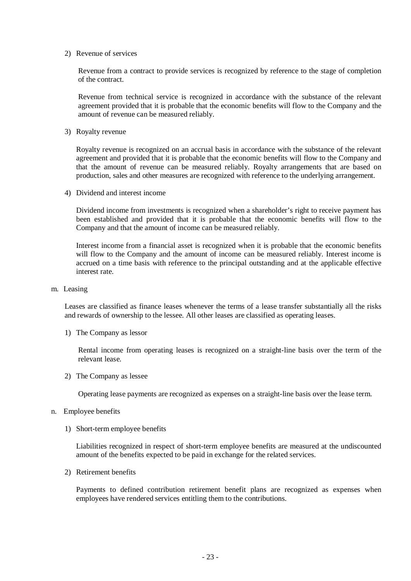2) Revenue of services

Revenue from a contract to provide services is recognized by reference to the stage of completion of the contract.

Revenue from technical service is recognized in accordance with the substance of the relevant agreement provided that it is probable that the economic benefits will flow to the Company and the amount of revenue can be measured reliably.

3) Royalty revenue

Royalty revenue is recognized on an accrual basis in accordance with the substance of the relevant agreement and provided that it is probable that the economic benefits will flow to the Company and that the amount of revenue can be measured reliably. Royalty arrangements that are based on production, sales and other measures are recognized with reference to the underlying arrangement.

4) Dividend and interest income

Dividend income from investments is recognized when a shareholder's right to receive payment has been established and provided that it is probable that the economic benefits will flow to the Company and that the amount of income can be measured reliably.

Interest income from a financial asset is recognized when it is probable that the economic benefits will flow to the Company and the amount of income can be measured reliably. Interest income is accrued on a time basis with reference to the principal outstanding and at the applicable effective interest rate.

m. Leasing

Leases are classified as finance leases whenever the terms of a lease transfer substantially all the risks and rewards of ownership to the lessee. All other leases are classified as operating leases.

1) The Company as lessor

Rental income from operating leases is recognized on a straight-line basis over the term of the relevant lease.

2) The Company as lessee

Operating lease payments are recognized as expenses on a straight-line basis over the lease term.

- n. Employee benefits
	- 1) Short-term employee benefits

Liabilities recognized in respect of short-term employee benefits are measured at the undiscounted amount of the benefits expected to be paid in exchange for the related services.

2) Retirement benefits

Payments to defined contribution retirement benefit plans are recognized as expenses when employees have rendered services entitling them to the contributions.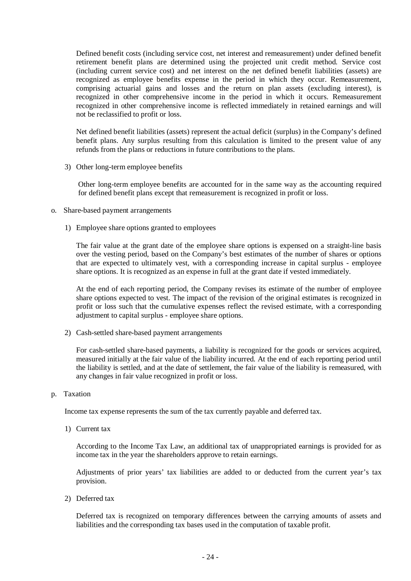Defined benefit costs (including service cost, net interest and remeasurement) under defined benefit retirement benefit plans are determined using the projected unit credit method. Service cost (including current service cost) and net interest on the net defined benefit liabilities (assets) are recognized as employee benefits expense in the period in which they occur. Remeasurement, comprising actuarial gains and losses and the return on plan assets (excluding interest), is recognized in other comprehensive income in the period in which it occurs. Remeasurement recognized in other comprehensive income is reflected immediately in retained earnings and will not be reclassified to profit or loss.

Net defined benefit liabilities (assets) represent the actual deficit (surplus) in the Company's defined benefit plans. Any surplus resulting from this calculation is limited to the present value of any refunds from the plans or reductions in future contributions to the plans.

3) Other long-term employee benefits

Other long-term employee benefits are accounted for in the same way as the accounting required for defined benefit plans except that remeasurement is recognized in profit or loss.

- o. Share-based payment arrangements
	- 1) Employee share options granted to employees

The fair value at the grant date of the employee share options is expensed on a straight-line basis over the vesting period, based on the Company's best estimates of the number of shares or options that are expected to ultimately vest, with a corresponding increase in capital surplus - employee share options. It is recognized as an expense in full at the grant date if vested immediately.

At the end of each reporting period, the Company revises its estimate of the number of employee share options expected to vest. The impact of the revision of the original estimates is recognized in profit or loss such that the cumulative expenses reflect the revised estimate, with a corresponding adjustment to capital surplus - employee share options.

2) Cash-settled share-based payment arrangements

For cash-settled share-based payments, a liability is recognized for the goods or services acquired, measured initially at the fair value of the liability incurred. At the end of each reporting period until the liability is settled, and at the date of settlement, the fair value of the liability is remeasured, with any changes in fair value recognized in profit or loss.

p. Taxation

Income tax expense represents the sum of the tax currently payable and deferred tax.

1) Current tax

According to the Income Tax Law, an additional tax of unappropriated earnings is provided for as income tax in the year the shareholders approve to retain earnings.

Adjustments of prior years' tax liabilities are added to or deducted from the current year's tax provision.

2) Deferred tax

Deferred tax is recognized on temporary differences between the carrying amounts of assets and liabilities and the corresponding tax bases used in the computation of taxable profit.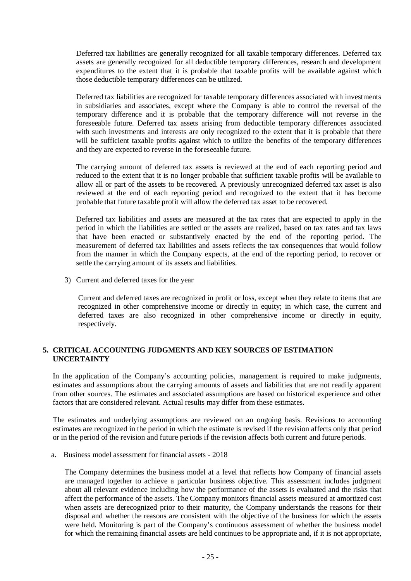Deferred tax liabilities are generally recognized for all taxable temporary differences. Deferred tax assets are generally recognized for all deductible temporary differences, research and development expenditures to the extent that it is probable that taxable profits will be available against which those deductible temporary differences can be utilized.

Deferred tax liabilities are recognized for taxable temporary differences associated with investments in subsidiaries and associates, except where the Company is able to control the reversal of the temporary difference and it is probable that the temporary difference will not reverse in the foreseeable future. Deferred tax assets arising from deductible temporary differences associated with such investments and interests are only recognized to the extent that it is probable that there will be sufficient taxable profits against which to utilize the benefits of the temporary differences and they are expected to reverse in the foreseeable future.

The carrying amount of deferred tax assets is reviewed at the end of each reporting period and reduced to the extent that it is no longer probable that sufficient taxable profits will be available to allow all or part of the assets to be recovered. A previously unrecognized deferred tax asset is also reviewed at the end of each reporting period and recognized to the extent that it has become probable that future taxable profit will allow the deferred tax asset to be recovered.

Deferred tax liabilities and assets are measured at the tax rates that are expected to apply in the period in which the liabilities are settled or the assets are realized, based on tax rates and tax laws that have been enacted or substantively enacted by the end of the reporting period. The measurement of deferred tax liabilities and assets reflects the tax consequences that would follow from the manner in which the Company expects, at the end of the reporting period, to recover or settle the carrying amount of its assets and liabilities.

3) Current and deferred taxes for the year

Current and deferred taxes are recognized in profit or loss, except when they relate to items that are recognized in other comprehensive income or directly in equity; in which case, the current and deferred taxes are also recognized in other comprehensive income or directly in equity, respectively.

#### **5. CRITICAL ACCOUNTING JUDGMENTS AND KEY SOURCES OF ESTIMATION UNCERTAINTY**

In the application of the Company's accounting policies, management is required to make judgments, estimates and assumptions about the carrying amounts of assets and liabilities that are not readily apparent from other sources. The estimates and associated assumptions are based on historical experience and other factors that are considered relevant. Actual results may differ from these estimates.

The estimates and underlying assumptions are reviewed on an ongoing basis. Revisions to accounting estimates are recognized in the period in which the estimate is revised if the revision affects only that period or in the period of the revision and future periods if the revision affects both current and future periods.

a. Business model assessment for financial assets - 2018

The Company determines the business model at a level that reflects how Company of financial assets are managed together to achieve a particular business objective. This assessment includes judgment about all relevant evidence including how the performance of the assets is evaluated and the risks that affect the performance of the assets. The Company monitors financial assets measured at amortized cost when assets are derecognized prior to their maturity, the Company understands the reasons for their disposal and whether the reasons are consistent with the objective of the business for which the assets were held. Monitoring is part of the Company's continuous assessment of whether the business model for which the remaining financial assets are held continues to be appropriate and, if it is not appropriate,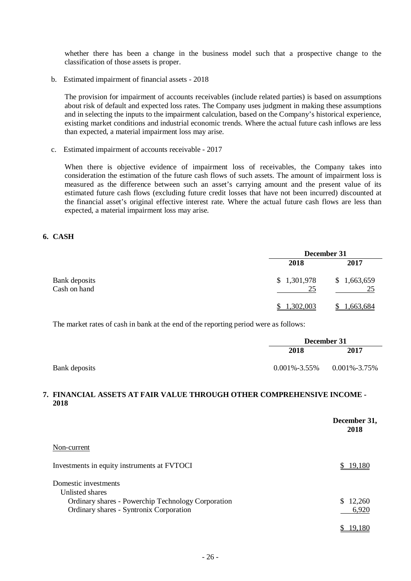whether there has been a change in the business model such that a prospective change to the classification of those assets is proper.

b. Estimated impairment of financial assets - 2018

The provision for impairment of accounts receivables (include related parties) is based on assumptions about risk of default and expected loss rates. The Company uses judgment in making these assumptions and in selecting the inputs to the impairment calculation, based on the Company's historical experience, existing market conditions and industrial economic trends. Where the actual future cash inflows are less than expected, a material impairment loss may arise.

c. Estimated impairment of accounts receivable - 2017

When there is objective evidence of impairment loss of receivables, the Company takes into consideration the estimation of the future cash flows of such assets. The amount of impairment loss is measured as the difference between such an asset's carrying amount and the present value of its estimated future cash flows (excluding future credit losses that have not been incurred) discounted at the financial asset's original effective interest rate. Where the actual future cash flows are less than expected, a material impairment loss may arise.

#### **6. CASH**

|                                      | December 31       |                   |  |  |
|--------------------------------------|-------------------|-------------------|--|--|
|                                      | 2018              | 2017              |  |  |
| <b>Bank</b> deposits<br>Cash on hand | \$1,301,978<br>25 | \$1,663,659<br>25 |  |  |
|                                      | <u>1,302,003</u>  | 1,663,684         |  |  |

The market rates of cash in bank at the end of the reporting period were as follows:

|               | December 31        |                    |
|---------------|--------------------|--------------------|
|               | 2018               | 2017               |
| Bank deposits | $0.001\% - 3.55\%$ | $0.001\% - 3.75\%$ |

#### **7. FINANCIAL ASSETS AT FAIR VALUE THROUGH OTHER COMPREHENSIVE INCOME - 2018**

|                                                    | December 31.<br>2018 |
|----------------------------------------------------|----------------------|
| Non-current                                        |                      |
| Investments in equity instruments at FVTOCI        | 19.180               |
| Domestic investments<br>Unlisted shares            |                      |
| Ordinary shares - Powerchip Technology Corporation | S.<br>12,260         |
| Ordinary shares - Syntronix Corporation            | 6,920                |
|                                                    | 19.180               |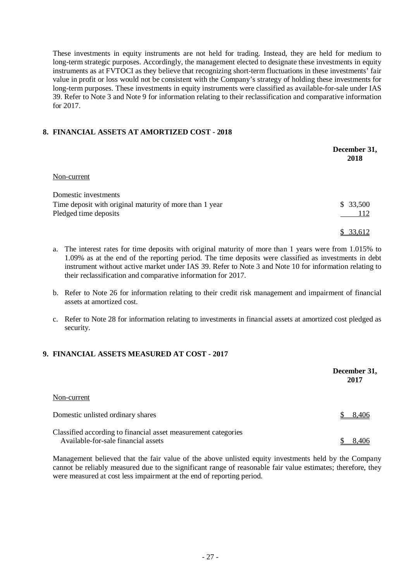These investments in equity instruments are not held for trading. Instead, they are held for medium to long-term strategic purposes. Accordingly, the management elected to designate these investments in equity instruments as at FVTOCI as they believe that recognizing short-term fluctuations in these investments' fair value in profit or loss would not be consistent with the Company's strategy of holding these investments for long-term purposes. These investments in equity instruments were classified as available-for-sale under IAS 39. Refer to Note 3 and Note 9 for information relating to their reclassification and comparative information for 2017.

#### **8. FINANCIAL ASSETS AT AMORTIZED COST - 2018**

|                                                         | December 31,<br>2018 |
|---------------------------------------------------------|----------------------|
| Non-current                                             |                      |
| Domestic investments                                    |                      |
| Time deposit with original maturity of more than 1 year | \$33,500             |
| Pledged time deposits                                   | 112                  |
|                                                         | 33,612               |

- a. The interest rates for time deposits with original maturity of more than 1 years were from 1.015% to 1.09% as at the end of the reporting period. The time deposits were classified as investments in debt instrument without active market under IAS 39. Refer to Note 3 and Note 10 for information relating to their reclassification and comparative information for 2017.
- b. Refer to Note 26 for information relating to their credit risk management and impairment of financial assets at amortized cost.
- c. Refer to Note 28 for information relating to investments in financial assets at amortized cost pledged as security.

#### **9. FINANCIAL ASSETS MEASURED AT COST - 2017**

|                                                                                                       | December 31,<br>2017 |
|-------------------------------------------------------------------------------------------------------|----------------------|
| Non-current                                                                                           |                      |
| Domestic unlisted ordinary shares                                                                     | 8.406                |
| Classified according to financial asset measurement categories<br>Available-for-sale financial assets | 8.406                |

Management believed that the fair value of the above unlisted equity investments held by the Company cannot be reliably measured due to the significant range of reasonable fair value estimates; therefore, they were measured at cost less impairment at the end of reporting period.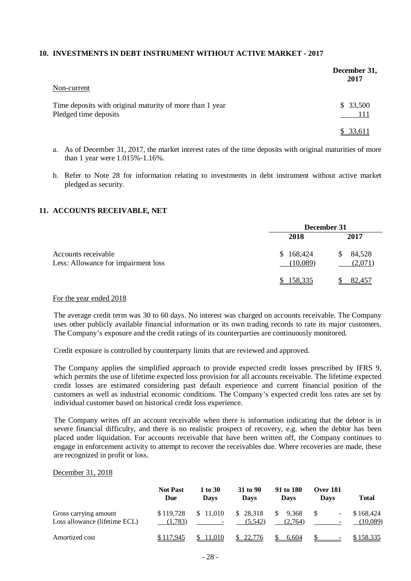#### **10. INVESTMENTS IN DEBT INSTRUMENT WITHOUT ACTIVE MARKET - 2017**

|                                                                                   | December 31,<br>2017 |
|-----------------------------------------------------------------------------------|----------------------|
| Non-current                                                                       |                      |
| Time deposits with original maturity of more than 1 year<br>Pledged time deposits | \$33,500<br>- 111    |
|                                                                                   | \$ 33,611            |

- a. As of December 31, 2017, the market interest rates of the time deposits with original maturities of more than 1 year were 1.015%-1.16%.
- b. Refer to Note 28 for information relating to investments in debt instrument without active market pledged as security.

#### **11. ACCOUNTS RECEIVABLE, NET**

|                                                            | December 31           |                         |
|------------------------------------------------------------|-----------------------|-------------------------|
|                                                            | 2018                  | 2017                    |
| Accounts receivable<br>Less: Allowance for impairment loss | \$168,424<br>(10,089) | 84,528<br>S.<br>(2,071) |
|                                                            | \$158,335             | 82,457                  |

#### For the year ended 2018

The average credit term was 30 to 60 days. No interest was charged on accounts receivable. The Company uses other publicly available financial information or its own trading records to rate its major customers. The Company's exposure and the credit ratings of its counterparties are continuously monitored.

Credit exposure is controlled by counterparty limits that are reviewed and approved.

The Company applies the simplified approach to provide expected credit losses prescribed by IFRS 9, which permits the use of lifetime expected loss provision for all accounts receivable. The lifetime expected credit losses are estimated considering past default experience and current financial position of the customers as well as industrial economic conditions. The Company's expected credit loss rates are set by individual customer based on historical credit loss experience.

The Company writes off an account receivable when there is information indicating that the debtor is in severe financial difficulty, and there is no realistic prospect of recovery, e.g. when the debtor has been placed under liquidation. For accounts receivable that have been written off, the Company continues to engage in enforcement activity to attempt to recover the receivables due. Where recoveries are made, these are recognized in profit or loss.

#### December 31, 2018

|                                                        | <b>Not Past</b><br>Due | 1 to 30<br><b>Davs</b>               | 31 to 90<br>Davs    | 91 to 180<br><b>Davs</b> | <b>Over 181</b><br>Davs       | <b>Total</b>          |
|--------------------------------------------------------|------------------------|--------------------------------------|---------------------|--------------------------|-------------------------------|-----------------------|
| Gross carrying amount<br>Loss allowance (lifetime ECL) | \$119.728<br>(1,783)   | \$11,010<br>$\overline{\phantom{a}}$ | \$28.318<br>(5.542) | 9.368<br>(2,764)         | ۰<br>$\overline{\phantom{a}}$ | \$168,424<br>(10,089) |
| Amortized cost                                         | \$117,945              | 11,010                               | 22.776              | 6.604                    |                               | \$158,335             |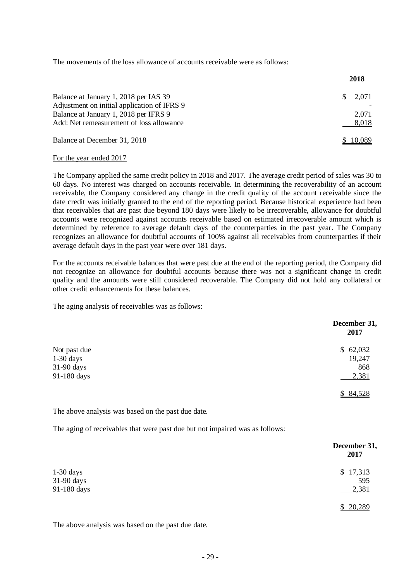The movements of the loss allowance of accounts receivable were as follows:

|                                             | 2018        |
|---------------------------------------------|-------------|
| Balance at January 1, 2018 per IAS 39       | 2,071<br>S. |
| Adjustment on initial application of IFRS 9 |             |
| Balance at January 1, 2018 per IFRS 9       | 2,071       |
| Add: Net remeasurement of loss allowance    | 8,018       |
| Balance at December 31, 2018                | \$10,089    |

#### For the year ended 2017

The Company applied the same credit policy in 2018 and 2017. The average credit period of sales was 30 to 60 days. No interest was charged on accounts receivable. In determining the recoverability of an account receivable, the Company considered any change in the credit quality of the account receivable since the date credit was initially granted to the end of the reporting period. Because historical experience had been that receivables that are past due beyond 180 days were likely to be irrecoverable, allowance for doubtful accounts were recognized against accounts receivable based on estimated irrecoverable amount which is determined by reference to average default days of the counterparties in the past year. The Company recognizes an allowance for doubtful accounts of 100% against all receivables from counterparties if their average default days in the past year were over 181 days.

For the accounts receivable balances that were past due at the end of the reporting period, the Company did not recognize an allowance for doubtful accounts because there was not a significant change in credit quality and the amounts were still considered recoverable. The Company did not hold any collateral or other credit enhancements for these balances.

The aging analysis of receivables was as follows:

|              | December 31.<br>2017 |
|--------------|----------------------|
| Not past due | \$62,032             |
| $1-30$ days  | 19,247               |
| 31-90 days   | 868                  |
| 91-180 days  | 2,381                |
|              | \$84,528             |

The above analysis was based on the past due date.

The aging of receivables that were past due but not impaired was as follows:

|             | December 31,<br>2017 |
|-------------|----------------------|
| $1-30$ days | \$17,313             |
| 31-90 days  | 595                  |
| 91-180 days | 2,381                |
|             | \$20,289             |

The above analysis was based on the past due date.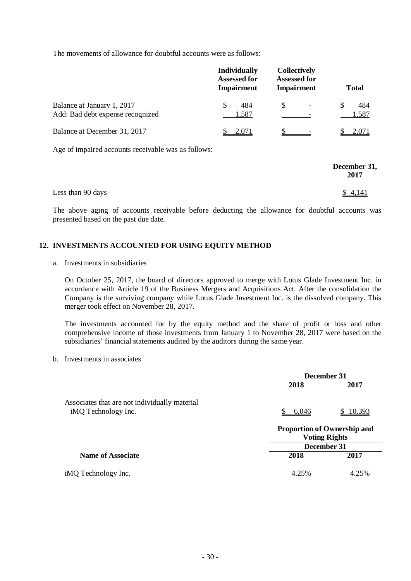The movements of allowance for doubtful accounts were as follows:

|                                                                | <b>Individually</b><br><b>Assessed for</b><br><b>Impairment</b> | <b>Collectively</b><br><b>Assessed for</b><br><b>Impairment</b> | <b>Total</b> |
|----------------------------------------------------------------|-----------------------------------------------------------------|-----------------------------------------------------------------|--------------|
| Balance at January 1, 2017<br>Add: Bad debt expense recognized | 484<br>S<br>1,587                                               | \$                                                              | 484<br>1,587 |
| Balance at December 31, 2017                                   | 2.071                                                           |                                                                 | 2.071        |

Age of impaired accounts receivable was as follows:

|                   | December 31,<br>2017 |
|-------------------|----------------------|
| Less than 90 days | \$4,141              |

The above aging of accounts receivable before deducting the allowance for doubtful accounts was presented based on the past due date.

#### **12. INVESTMENTS ACCOUNTED FOR USING EQUITY METHOD**

a. Investments in subsidiaries

On October 25, 2017, the board of directors approved to merge with Lotus Glade Investment Inc. in accordance with Article 19 of the Business Mergers and Acquisitions Act. After the consolidation the Company is the surviving company while Lotus Glade Investment Inc. is the dissolved company. This merger took effect on November 28, 2017.

The investments accounted for by the equity method and the share of profit or loss and other comprehensive income of those investments from January 1 to November 28, 2017 were based on the subsidiaries' financial statements audited by the auditors during the same year.

#### b. Investments in associates

|                                               | December 31 |                                                            |  |
|-----------------------------------------------|-------------|------------------------------------------------------------|--|
|                                               | 2018        | 2017                                                       |  |
| Associates that are not individually material |             |                                                            |  |
| iMQ Technology Inc.                           | 6,046       | 10,393                                                     |  |
|                                               |             | <b>Proportion of Ownership and</b><br><b>Voting Rights</b> |  |
|                                               | December 31 |                                                            |  |
| <b>Name of Associate</b>                      | 2018        | 2017                                                       |  |
| iMQ Technology Inc.                           | 4.25%       | 4.25%                                                      |  |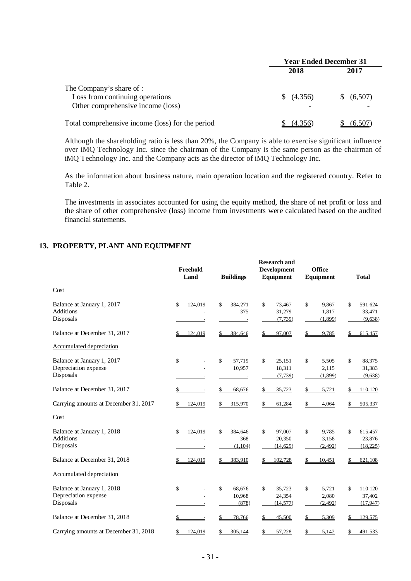|                                                  | <b>Year Ended December 31</b> |            |  |
|--------------------------------------------------|-------------------------------|------------|--|
|                                                  | 2018                          | 2017       |  |
| The Company's share of :                         |                               |            |  |
| Loss from continuing operations                  | (4,356)                       | \$ (6,507) |  |
| Other comprehensive income (loss)                |                               |            |  |
| Total comprehensive income (loss) for the period | (4.356)                       | (6.507)    |  |

Although the shareholding ratio is less than 20%, the Company is able to exercise significant influence over iMQ Technology Inc. since the chairman of the Company is the same person as the chairman of iMQ Technology Inc. and the Company acts as the director of iMQ Technology Inc.

As the information about business nature, main operation location and the registered country. Refer to Table 2.

The investments in associates accounted for using the equity method, the share of net profit or loss and the share of other comprehensive (loss) income from investments were calculated based on the audited financial statements.

#### **13. PROPERTY, PLANT AND EQUIPMENT**

|                                                                 | Freehold<br>Land | <b>Buildings</b>                 | <b>Research and</b><br><b>Development</b><br>Equipment | <b>Office</b><br>Equipment       | <b>Total</b>                         |
|-----------------------------------------------------------------|------------------|----------------------------------|--------------------------------------------------------|----------------------------------|--------------------------------------|
| Cost                                                            |                  |                                  |                                                        |                                  |                                      |
| Balance at January 1, 2017<br><b>Additions</b><br>Disposals     | \$<br>124,019    | \$<br>384,271<br>375<br>$\equiv$ | \$<br>73,467<br>31,279<br>(7, 739)                     | \$<br>9,867<br>1,817<br>(1,899)  | \$<br>591,624<br>33,471<br>(9,638)   |
| Balance at December 31, 2017                                    | 124,019<br>\$    | \$<br>384,646                    | \$<br>97,007                                           | \$<br>9,785                      | 615,457<br>\$                        |
| <b>Accumulated depreciation</b>                                 |                  |                                  |                                                        |                                  |                                      |
| Balance at January 1, 2017<br>Depreciation expense<br>Disposals | \$               | \$<br>57,719<br>10,957           | \$<br>25,151<br>18,311<br>(7, 739)                     | \$<br>5,505<br>2,115<br>(1, 899) | \$<br>88,375<br>31,383<br>(9,638)    |
| Balance at December 31, 2017                                    |                  | 68,676<br>\$                     | \$<br>35,723                                           | \$<br>5,721                      | 110,120<br>\$                        |
| Carrying amounts at December 31, 2017                           | \$<br>124,019    | 315,970<br>\$                    | 61,284<br>\$                                           | 4,064<br>\$                      | 505,337<br>\$                        |
| Cost                                                            |                  |                                  |                                                        |                                  |                                      |
| Balance at January 1, 2018<br><b>Additions</b><br>Disposals     | \$<br>124,019    | \$<br>384,646<br>368<br>(1,104)  | \$<br>97,007<br>20,350<br>(14, 629)                    | \$<br>9,785<br>3,158<br>(2, 492) | \$<br>615,457<br>23,876<br>(18, 225) |
| Balance at December 31, 2018                                    | 124,019<br>\$    | 383,910<br>\$                    | 102,728<br>\$                                          | \$<br>10,451                     | 621,108<br>\$                        |
| <b>Accumulated depreciation</b>                                 |                  |                                  |                                                        |                                  |                                      |
| Balance at January 1, 2018<br>Depreciation expense<br>Disposals | \$               | \$<br>68,676<br>10,968<br>(878)  | \$<br>35,723<br>24,354<br>(14, 577)                    | \$<br>5,721<br>2,080<br>(2, 492) | \$<br>110,120<br>37,402<br>(17, 947) |
| Balance at December 31, 2018                                    |                  | 78,766<br>\$                     | 45,500<br>\$                                           | 5,309                            | 129,575                              |
| Carrying amounts at December 31, 2018                           | 124,019          | 305,144<br>\$                    | 57,228<br>\$                                           | \$<br>5,142                      | 491,533                              |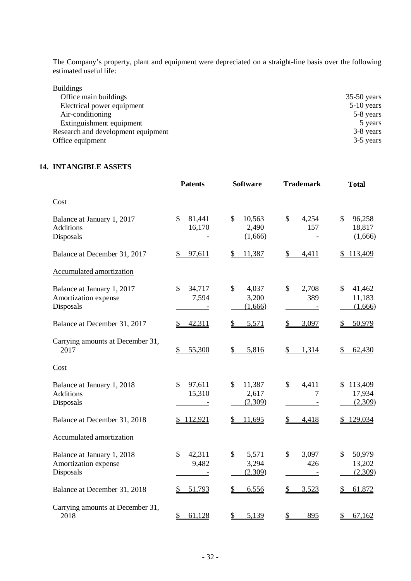The Company's property, plant and equipment were depreciated on a straight-line basis over the following estimated useful life:

| $35-50$ years |
|---------------|
| $5-10$ years  |
| 5-8 years     |
| 5 years       |
| 3-8 years     |
| 3-5 years     |
|               |

#### **14. INTANGIBLE ASSETS**

|                                                                 | <b>Patents</b>                    | <b>Software</b>                            | <b>Trademark</b>              | <b>Total</b>                                 |
|-----------------------------------------------------------------|-----------------------------------|--------------------------------------------|-------------------------------|----------------------------------------------|
| Cost                                                            |                                   |                                            |                               |                                              |
| Balance at January 1, 2017<br><b>Additions</b><br>Disposals     | $\mathcal{S}$<br>81,441<br>16,170 | \$<br>10,563<br>2,490<br>(1,666)           | $\mathcal{S}$<br>4,254<br>157 | 96,258<br>\$<br>18,817<br>(1,666)            |
| Balance at December 31, 2017                                    | \$<br>97,611                      | 11,387<br>\$                               | \$<br>4,411                   | 113,409<br>\$                                |
| Accumulated amortization                                        |                                   |                                            |                               |                                              |
| Balance at January 1, 2017<br>Amortization expense<br>Disposals | $\mathcal{S}$<br>34,717<br>7,594  | \$<br>4,037<br>3,200<br>(1,666)            | $\mathcal{S}$<br>2,708<br>389 | \$<br>41,462<br>11,183<br>(1,666)            |
| Balance at December 31, 2017                                    | 42,311<br>\$                      | \$<br>5,571                                | \$<br>3,097                   | 50,979                                       |
| Carrying amounts at December 31,<br>2017                        | 55,300<br>\$                      | $\frac{1}{2}$<br>5,816                     | $\mathcal{L}$<br>1,314        | 62,430                                       |
| Cost                                                            |                                   |                                            |                               |                                              |
| Balance at January 1, 2018<br><b>Additions</b><br>Disposals     | $\mathcal{S}$<br>97,611<br>15,310 | \$<br>11,387<br>2,617<br>(2,309)           | $\mathcal{S}$<br>4,411<br>7   | 113,409<br>17,934<br>(2,309)                 |
| Balance at December 31, 2018                                    | \$112,921                         | 11,695                                     | \$<br>4,418                   | 129,034                                      |
| <b>Accumulated amortization</b>                                 |                                   |                                            |                               |                                              |
| Balance at January 1, 2018<br>Amortization expense<br>Disposals | $\mathcal{S}$<br>42,311<br>9,482  | $\mathsf{\$}$<br>5,571<br>3,294<br>(2,309) | $\mathcal{S}$<br>3,097<br>426 | 50,979<br>$\mathcal{S}$<br>13,202<br>(2,309) |
| Balance at December 31, 2018                                    | 51,793                            | \$<br>6,556                                | 3,523<br>\$                   | 61,872                                       |
| Carrying amounts at December 31,<br>2018                        | \$<br>61,128                      | \$<br>5,139                                | \$<br>895                     | \$<br>67,162                                 |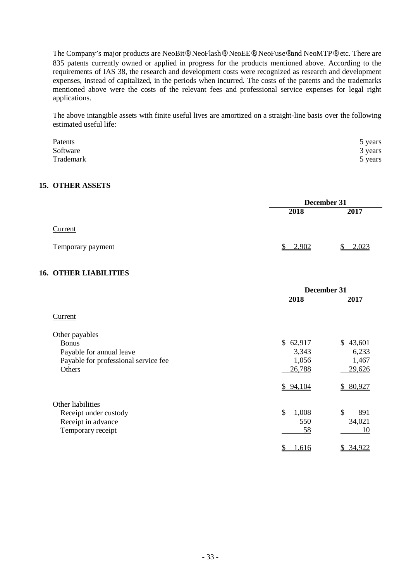The Company's major products are NeoBit®, NeoFlash®, NeoEE®, NeoFuse® and NeoMTP®, etc. There are 835 patents currently owned or applied in progress for the products mentioned above. According to the requirements of IAS 38, the research and development costs were recognized as research and development expenses, instead of capitalized, in the periods when incurred. The costs of the patents and the trademarks mentioned above were the costs of the relevant fees and professional service expenses for legal right applications.

The above intangible assets with finite useful lives are amortized on a straight-line basis over the following estimated useful life:

| Patents   | 5 years |
|-----------|---------|
| Software  | 3 years |
| Trademark | 5 years |

#### **15. OTHER ASSETS**

|                   | December 31 |       |
|-------------------|-------------|-------|
|                   | 2018        | 2017  |
| Current           |             |       |
| Temporary payment | 2,902<br>¢  | 2,023 |

#### **16. OTHER LIABILITIES**

|                                      | December 31 |                         |
|--------------------------------------|-------------|-------------------------|
|                                      | 2018        | 2017                    |
| Current                              |             |                         |
| Other payables                       |             |                         |
| <b>Bonus</b>                         | \$62,917    | \$43,601                |
| Payable for annual leave             | 3,343       | 6,233                   |
| Payable for professional service fee | 1,056       | 1,467                   |
| Others                               | 26,788      | 29,626                  |
|                                      | \$94,104    | \$80,927                |
| Other liabilities                    |             |                         |
| Receipt under custody                | \$<br>1,008 | \$<br>891               |
| Receipt in advance                   | 550         | 34,021                  |
| Temporary receipt                    | 58          | 10                      |
|                                      | \$<br>1,616 | 34,922<br>$\frac{1}{2}$ |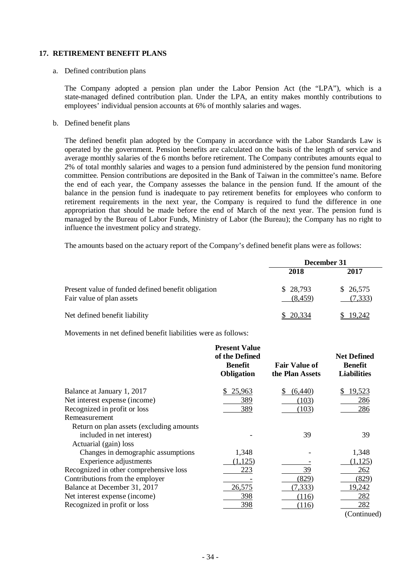#### **17. RETIREMENT BENEFIT PLANS**

#### a. Defined contribution plans

The Company adopted a pension plan under the Labor Pension Act (the "LPA"), which is a state-managed defined contribution plan. Under the LPA, an entity makes monthly contributions to employees' individual pension accounts at 6% of monthly salaries and wages.

#### b. Defined benefit plans

The defined benefit plan adopted by the Company in accordance with the Labor Standards Law is operated by the government. Pension benefits are calculated on the basis of the length of service and average monthly salaries of the 6 months before retirement. The Company contributes amounts equal to 2% of total monthly salaries and wages to a pension fund administered by the pension fund monitoring committee. Pension contributions are deposited in the Bank of Taiwan in the committee's name. Before the end of each year, the Company assesses the balance in the pension fund. If the amount of the balance in the pension fund is inadequate to pay retirement benefits for employees who conform to retirement requirements in the next year, the Company is required to fund the difference in one appropriation that should be made before the end of March of the next year. The pension fund is managed by the Bureau of Labor Funds, Ministry of Labor (the Bureau); the Company has no right to influence the investment policy and strategy.

The amounts based on the actuary report of the Company's defined benefit plans were as follows:

|                                                                                 | December 31         |                      |
|---------------------------------------------------------------------------------|---------------------|----------------------|
|                                                                                 | 2018                | 2017                 |
| Present value of funded defined benefit obligation<br>Fair value of plan assets | \$28,793<br>(8.459) | \$26,575<br>(7, 333) |
| Net defined benefit liability                                                   | \$20,334            | \$19,242             |

Movements in net defined benefit liabilities were as follows:

|                                           | <b>Present Value</b><br>of the Defined<br><b>Benefit</b><br>Obligation | <b>Fair Value of</b><br>the Plan Assets | <b>Net Defined</b><br><b>Benefit</b><br><b>Liabilities</b> |
|-------------------------------------------|------------------------------------------------------------------------|-----------------------------------------|------------------------------------------------------------|
| Balance at January 1, 2017                | 25,963                                                                 | (6,440)                                 | 19,523                                                     |
| Net interest expense (income)             | 389                                                                    | (103)                                   | 286                                                        |
| Recognized in profit or loss              | 389                                                                    | (103)                                   | 286                                                        |
| Remeasurement                             |                                                                        |                                         |                                                            |
| Return on plan assets (excluding amounts) |                                                                        |                                         |                                                            |
| included in net interest)                 |                                                                        | 39                                      | 39                                                         |
| Actuarial (gain) loss                     |                                                                        |                                         |                                                            |
| Changes in demographic assumptions        | 1,348                                                                  |                                         | 1,348                                                      |
| Experience adjustments                    | (1,125)                                                                |                                         | (1, 125)                                                   |
| Recognized in other comprehensive loss    | 223                                                                    | 39                                      | 262                                                        |
| Contributions from the employer           |                                                                        | (829)                                   | (829)                                                      |
| Balance at December 31, 2017              | 26,575                                                                 | (7, 333)                                | 19,242                                                     |
| Net interest expense (income)             | 398                                                                    | (116)                                   | 282                                                        |
| Recognized in profit or loss              | 398                                                                    | (116)                                   | 282                                                        |
|                                           |                                                                        |                                         | (Continued)                                                |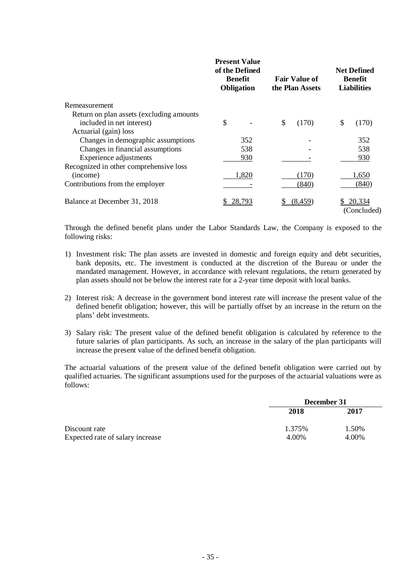|                                           | <b>Present Value</b><br>of the Defined<br><b>Benefit</b><br>Obligation | <b>Fair Value of</b><br>the Plan Assets | <b>Net Defined</b><br><b>Benefit</b><br><b>Liabilities</b> |
|-------------------------------------------|------------------------------------------------------------------------|-----------------------------------------|------------------------------------------------------------|
| Remeasurement                             |                                                                        |                                         |                                                            |
| Return on plan assets (excluding amounts) |                                                                        |                                         |                                                            |
| included in net interest)                 | \$                                                                     | \$<br>(170)                             | $\mathbb{S}$<br>(170)                                      |
| Actuarial (gain) loss                     |                                                                        |                                         |                                                            |
| Changes in demographic assumptions        | 352                                                                    |                                         | 352                                                        |
| Changes in financial assumptions          | 538                                                                    |                                         | 538                                                        |
| Experience adjustments                    | 930                                                                    |                                         | 930                                                        |
| Recognized in other comprehensive loss    |                                                                        |                                         |                                                            |
| (income)                                  | 1,820                                                                  | (170)                                   | 1,650                                                      |
| Contributions from the employer           |                                                                        | (840)                                   | (840)                                                      |
| Balance at December 31, 2018              | 28,793                                                                 | (8, 459)                                | 20,334<br>(Concluded)                                      |

Through the defined benefit plans under the Labor Standards Law, the Company is exposed to the following risks:

- 1) Investment risk: The plan assets are invested in domestic and foreign equity and debt securities, bank deposits, etc. The investment is conducted at the discretion of the Bureau or under the mandated management. However, in accordance with relevant regulations, the return generated by plan assets should not be below the interest rate for a 2-year time deposit with local banks.
- 2) Interest risk: A decrease in the government bond interest rate will increase the present value of the defined benefit obligation; however, this will be partially offset by an increase in the return on the plans' debt investments.
- 3) Salary risk: The present value of the defined benefit obligation is calculated by reference to the future salaries of plan participants. As such, an increase in the salary of the plan participants will increase the present value of the defined benefit obligation.

The actuarial valuations of the present value of the defined benefit obligation were carried out by qualified actuaries. The significant assumptions used for the purposes of the actuarial valuations were as follows:

|                                  | December 31 |       |
|----------------------------------|-------------|-------|
|                                  | 2018        | 2017  |
| Discount rate                    | 1.375%      | 1.50% |
| Expected rate of salary increase | 4.00%       | 4.00% |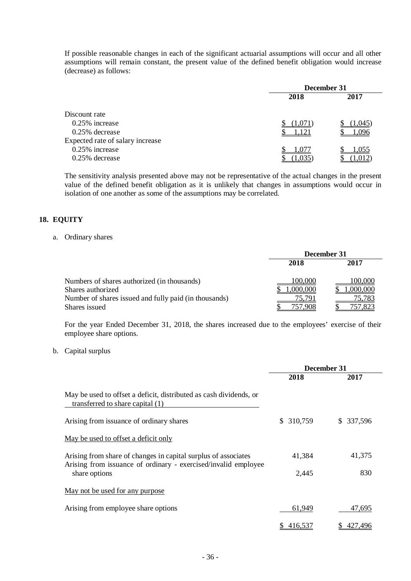If possible reasonable changes in each of the significant actuarial assumptions will occur and all other assumptions will remain constant, the present value of the defined benefit obligation would increase (decrease) as follows:

|                                  | December 31 |         |  |
|----------------------------------|-------------|---------|--|
|                                  | 2018        | 2017    |  |
| Discount rate                    |             |         |  |
| $0.25\%$ increase                | (1,0/1)     | (1,045) |  |
| 0.25% decrease                   | .121        | .096    |  |
| Expected rate of salary increase |             |         |  |
| 0.25% increase                   | 1,077       | 1,055   |  |
| 0.25% decrease                   |             |         |  |

The sensitivity analysis presented above may not be representative of the actual changes in the present value of the defined benefit obligation as it is unlikely that changes in assumptions would occur in isolation of one another as some of the assumptions may be correlated.

#### **18. EQUITY**

#### a. Ordinary shares

|                                                                  | December 31         |                     |  |
|------------------------------------------------------------------|---------------------|---------------------|--|
|                                                                  | 2018                | 2017                |  |
| Numbers of shares authorized (in thousands)<br>Shares authorized | 100,000<br>,000,000 | 100,000<br>,000,000 |  |
| Number of shares issued and fully paid (in thousands)            | 75,791              | 75,783              |  |
| Shares issued                                                    | .908                |                     |  |

For the year Ended December 31, 2018, the shares increased due to the employees' exercise of their employee share options.

#### b. Capital surplus

|                                                                                                                                  | December 31   |               |
|----------------------------------------------------------------------------------------------------------------------------------|---------------|---------------|
|                                                                                                                                  | 2018          | 2017          |
| May be used to offset a deficit, distributed as cash dividends, or<br>transferred to share capital (1)                           |               |               |
| Arising from issuance of ordinary shares                                                                                         | 310,759<br>S. | 337,596<br>S. |
| May be used to offset a deficit only                                                                                             |               |               |
| Arising from share of changes in capital surplus of associates<br>Arising from issuance of ordinary - exercised/invalid employee | 41,384        | 41,375        |
| share options                                                                                                                    | 2,445         | 830           |
| May not be used for any purpose                                                                                                  |               |               |
| Arising from employee share options                                                                                              | 61,949        | 47,695        |
|                                                                                                                                  | 416,537<br>S. | 427,496<br>S. |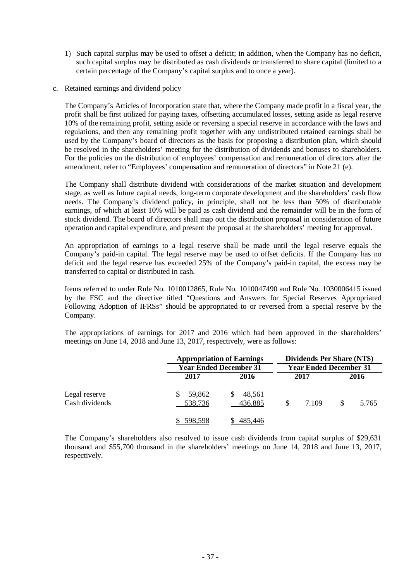- 1) Such capital surplus may be used to offset a deficit; in addition, when the Company has no deficit, such capital surplus may be distributed as cash dividends or transferred to share capital (limited to a certain percentage of the Company's capital surplus and to once a year).
- c. Retained earnings and dividend policy

The Company's Articles of Incorporation state that, where the Company made profit in a fiscal year, the profit shall be first utilized for paying taxes, offsetting accumulated losses, setting aside as legal reserve 10% of the remaining profit, setting aside or reversing a special reserve in accordance with the laws and regulations, and then any remaining profit together with any undistributed retained earnings shall be used by the Company's board of directors as the basis for proposing a distribution plan, which should be resolved in the shareholders' meeting for the distribution of dividends and bonuses to shareholders. For the policies on the distribution of employees' compensation and remuneration of directors after the amendment, refer to "Employees' compensation and remuneration of directors" in Note 21 (e).

The Company shall distribute dividend with considerations of the market situation and development stage, as well as future capital needs, long-term corporate development and the shareholders' cash flow needs. The Company's dividend policy, in principle, shall not be less than 50% of distributable earnings, of which at least 10% will be paid as cash dividend and the remainder will be in the form of stock dividend. The board of directors shall map out the distribution proposal in consideration of future operation and capital expenditure, and present the proposal at the shareholders' meeting for approval.

An appropriation of earnings to a legal reserve shall be made until the legal reserve equals the Company's paid-in capital. The legal reserve may be used to offset deficits. If the Company has no deficit and the legal reserve has exceeded 25% of the Company's paid-in capital, the excess may be transferred to capital or distributed in cash.

Items referred to under Rule No. 1010012865, Rule No. 1010047490 and Rule No. 1030006415 issued by the FSC and the directive titled "Questions and Answers for Special Reserves Appropriated Following Adoption of IFRSs" should be appropriated to or reversed from a special reserve by the Company.

The appropriations of earnings for 2017 and 2016 which had been approved in the shareholders' meetings on June 14, 2018 and June 13, 2017, respectively, were as follows:

|                                 |                   | <b>Appropriation of Earnings</b><br><b>Year Ended December 31</b> | <b>Dividends Per Share (NT\$)</b><br><b>Year Ended December 31</b> |       |
|---------------------------------|-------------------|-------------------------------------------------------------------|--------------------------------------------------------------------|-------|
|                                 | 2017              | 2016                                                              | 2017                                                               | 2016  |
| Legal reserve<br>Cash dividends | 59,862<br>538,736 | 48,561<br>436,885                                                 | \$<br>7.109                                                        | 5.765 |
|                                 | 598,598           | 485,446                                                           |                                                                    |       |

The Company's shareholders also resolved to issue cash dividends from capital surplus of \$29,631 thousand and \$55,700 thousand in the shareholders' meetings on June 14, 2018 and June 13, 2017, respectively.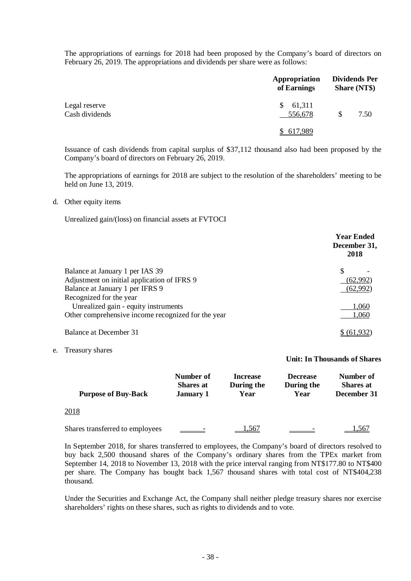The appropriations of earnings for 2018 had been proposed by the Company's board of directors on February 26, 2019. The appropriations and dividends per share were as follows:

|                                 | Appropriation<br>of Earnings | <b>Dividends Per</b><br><b>Share (NT\$)</b> |
|---------------------------------|------------------------------|---------------------------------------------|
| Legal reserve<br>Cash dividends | 61,311<br>S.<br>556,678      | \$<br>7.50                                  |
|                                 | \$ 617,989                   |                                             |

Issuance of cash dividends from capital surplus of \$37,112 thousand also had been proposed by the Company's board of directors on February 26, 2019.

The appropriations of earnings for 2018 are subject to the resolution of the shareholders' meeting to be held on June 13, 2019.

#### d. Other equity items

Unrealized gain/(loss) on financial assets at FVTOCI

|                                                    | <b>Year Ended</b><br>December 31,<br>2018 |
|----------------------------------------------------|-------------------------------------------|
| Balance at January 1 per IAS 39                    |                                           |
| Adjustment on initial application of IFRS 9        | (62,992)                                  |
| Balance at January 1 per IFRS 9                    | (62,992)                                  |
| Recognized for the year                            |                                           |
| Unrealized gain - equity instruments               | 1,060                                     |
| Other comprehensive income recognized for the year | 1,060                                     |
| Balance at December 31                             |                                           |

e. Treasury shares

#### **Unit: In Thousands of Shares**

| <b>Purpose of Buy-Back</b>      | Number of<br><b>Shares</b> at<br><b>January 1</b> | <b>Increase</b><br>During the<br>Year | <b>Decrease</b><br>During the<br>Year | Number of<br><b>Shares</b> at<br>December 31 |
|---------------------------------|---------------------------------------------------|---------------------------------------|---------------------------------------|----------------------------------------------|
| 2018                            |                                                   |                                       |                                       |                                              |
| Shares transferred to employees |                                                   | 1,567                                 |                                       | 1,567                                        |

In September 2018, for shares transferred to employees, the Company's board of directors resolved to buy back 2,500 thousand shares of the Company's ordinary shares from the TPEx market from September 14, 2018 to November 13, 2018 with the price interval ranging from NT\$177.80 to NT\$400 per share. The Company has bought back 1,567 thousand shares with total cost of NT\$404,238 thousand.

Under the Securities and Exchange Act, the Company shall neither pledge treasury shares nor exercise shareholders' rights on these shares, such as rights to dividends and to vote.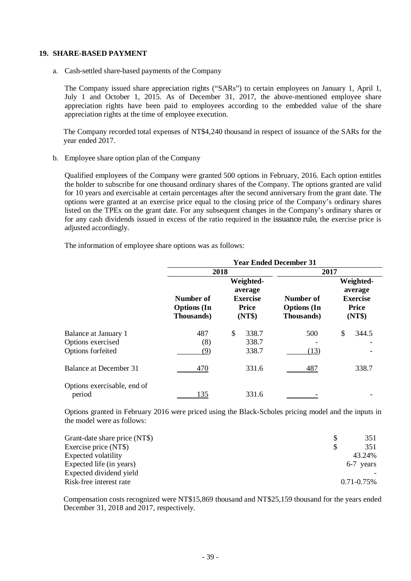#### **19. SHARE-BASED PAYMENT**

a. Cash-settled share-based payments of the Company

The Company issued share appreciation rights ("SARs") to certain employees on January 1, April 1, July 1 and October 1, 2015. As of December 31, 2017, the above-mentioned employee share appreciation rights have been paid to employees according to the embedded value of the share appreciation rights at the time of employee execution.

The Company recorded total expenses of NT\$4,240 thousand in respect of issuance of the SARs for the year ended 2017.

b. Employee share option plan of the Company

Qualified employees of the Company were granted 500 options in February, 2016. Each option entitles the holder to subscribe for one thousand ordinary shares of the Company. The options granted are valid for 10 years and exercisable at certain percentages after the second anniversary from the grant date. The options were granted at an exercise price equal to the closing price of the Company's ordinary shares listed on the TPEx on the grant date. For any subsequent changes in the Company's ordinary shares or for any cash dividends issued in excess of the ratio required in the issuance rule, the exercise price is adjusted accordingly.

The information of employee share options was as follows:

|                                       |                                               |                                                                   | <b>Year Ended December 31</b>                 |                                                                   |
|---------------------------------------|-----------------------------------------------|-------------------------------------------------------------------|-----------------------------------------------|-------------------------------------------------------------------|
|                                       | 2018                                          |                                                                   | 2017                                          |                                                                   |
|                                       | Number of<br><b>Options</b> (In<br>Thousands) | Weighted-<br>average<br><b>Exercise</b><br><b>Price</b><br>(NT\$) | Number of<br><b>Options</b> (In<br>Thousands) | Weighted-<br>average<br><b>Exercise</b><br><b>Price</b><br>(NT\$) |
| Balance at January 1                  | 487                                           | \$<br>338.7                                                       | 500                                           | \$<br>344.5                                                       |
| Options exercised                     | (8)                                           | 338.7                                                             |                                               |                                                                   |
| Options forfeited                     | (9)                                           | 338.7                                                             | (13)                                          |                                                                   |
| Balance at December 31                | 470                                           | 331.6                                                             | 487                                           | 338.7                                                             |
| Options exercisable, end of<br>period | 135                                           | 331.6                                                             |                                               |                                                                   |

Options granted in February 2016 were priced using the Black-Scholes pricing model and the inputs in the model were as follows:

| Grant-date share price (NT\$) | 351             |
|-------------------------------|-----------------|
| Exercise price (NT\$)         | 351             |
| <b>Expected volatility</b>    | 43.24%          |
| Expected life (in years)      | 6-7 years       |
| Expected dividend yield       |                 |
| Risk-free interest rate       | $0.71 - 0.75\%$ |

Compensation costs recognized were NT\$15,869 thousand and NT\$25,159 thousand for the years ended December 31, 2018 and 2017, respectively.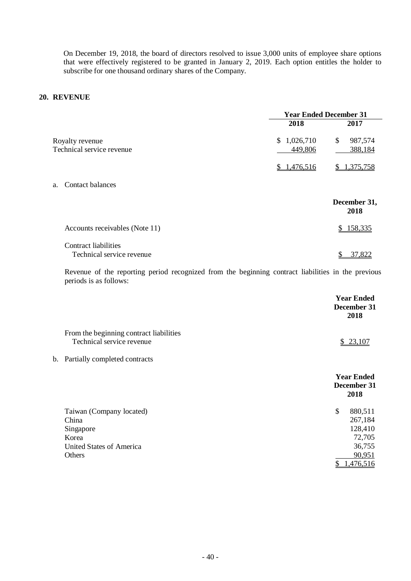On December 19, 2018, the board of directors resolved to issue 3,000 units of employee share options that were effectively registered to be granted in January 2, 2019. Each option entitles the holder to subscribe for one thousand ordinary shares of the Company.

#### **20. REVENUE**

|                                                          | <b>Year Ended December 31</b> |                      |
|----------------------------------------------------------|-------------------------------|----------------------|
|                                                          | 2018                          | 2017                 |
| Royalty revenue                                          | \$1,026,710                   | \$<br>987,574        |
| Technical service revenue                                | 449,806                       | 388,184              |
|                                                          | \$1,476,516                   | 1,375,758<br>S.      |
| a. Contact balances                                      |                               |                      |
|                                                          |                               | December 31,<br>2018 |
| Accounts receivables (Note 11)                           |                               | 158,335              |
| <b>Contract liabilities</b><br>Technical service revenue |                               | 37,822<br>\$         |

Revenue of the reporting period recognized from the beginning contract liabilities in the previous periods is as follows:

|                                                                                                      | <b>Year Ended</b><br>December 31<br>2018                                            |
|------------------------------------------------------------------------------------------------------|-------------------------------------------------------------------------------------|
| From the beginning contract liabilities<br>Technical service revenue                                 | \$23,107                                                                            |
| b. Partially completed contracts                                                                     |                                                                                     |
|                                                                                                      | <b>Year Ended</b><br>December 31<br>2018                                            |
| Taiwan (Company located)<br>China<br>Singapore<br>Korea<br><b>United States of America</b><br>Others | \$<br>880,511<br>267,184<br>128,410<br>72,705<br>36,755<br>90,951<br>1,476,516<br>S |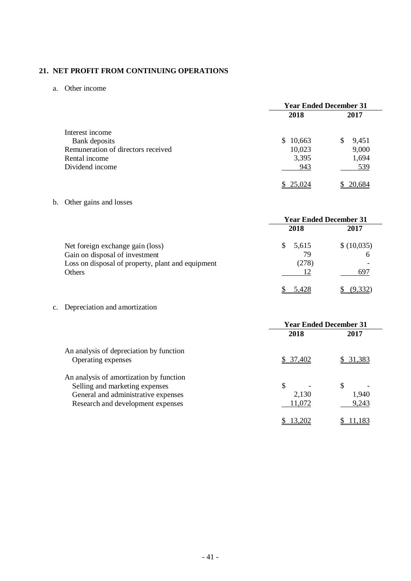## **21. NET PROFIT FROM CONTINUING OPERATIONS**

a. Other income

|                                    | <b>Year Ended December 31</b> |            |  |
|------------------------------------|-------------------------------|------------|--|
|                                    | 2018                          | 2017       |  |
| Interest income                    |                               |            |  |
| Bank deposits                      | \$10,663                      | 9,451<br>S |  |
| Remuneration of directors received | 10,023                        | 9,000      |  |
| Rental income                      | 3,395                         | 1,694      |  |
| Dividend income                    | 943                           | 539        |  |
|                                    |                               | 20.684     |  |

## b. Other gains and losses

|                                                                                                                                   | <b>Year Ended December 31</b>         |                        |
|-----------------------------------------------------------------------------------------------------------------------------------|---------------------------------------|------------------------|
|                                                                                                                                   | 2018                                  | 2017                   |
| Net foreign exchange gain (loss)<br>Gain on disposal of investment<br>Loss on disposal of property, plant and equipment<br>Others | 5,615<br><sup>\$</sup><br>79<br>(278) | \$(10,035)<br>h<br>697 |
|                                                                                                                                   | 5,428                                 | <u>(9.332)</u>         |

c. Depreciation and amortization

|                                         | <b>Year Ended December 31</b> |        |
|-----------------------------------------|-------------------------------|--------|
|                                         | 2018                          | 2017   |
| An analysis of depreciation by function |                               |        |
| Operating expenses                      | <u>\$37,402</u>               | 31.383 |
| An analysis of amortization by function |                               |        |
| Selling and marketing expenses          | \$                            | \$     |
| General and administrative expenses     | 2,130                         | 1,940  |
| Research and development expenses       | 11,072                        | 9,243  |
|                                         |                               |        |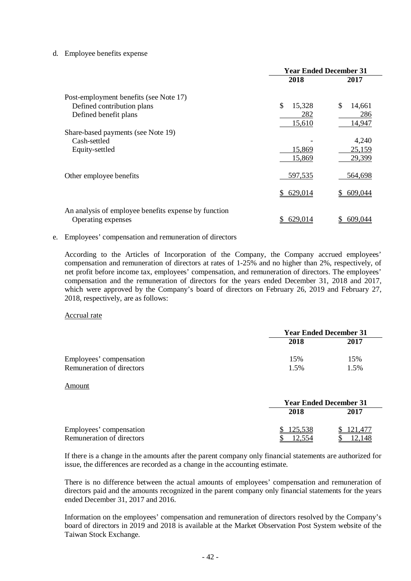#### d. Employee benefits expense

|                                                      | <b>Year Ended December 31</b> |              |
|------------------------------------------------------|-------------------------------|--------------|
|                                                      | 2018                          | 2017         |
| Post-employment benefits (see Note 17)               |                               |              |
| Defined contribution plans                           | \$<br>15,328                  | \$<br>14,661 |
| Defined benefit plans                                | 282                           | 286          |
|                                                      | 15,610                        | 14,947       |
| Share-based payments (see Note 19)                   |                               |              |
| Cash-settled                                         |                               | 4,240        |
| Equity-settled                                       | 15,869                        | 25,159       |
|                                                      | 15,869                        | 29,399       |
| Other employee benefits                              | 597,535                       | 564,698      |
|                                                      | \$629,014                     | 609,044      |
|                                                      |                               |              |
| An analysis of employee benefits expense by function |                               |              |
| Operating expenses                                   | 629,014                       | 609,044      |

#### e. Employees' compensation and remuneration of directors

According to the Articles of Incorporation of the Company, the Company accrued employees' compensation and remuneration of directors at rates of 1-25% and no higher than 2%, respectively, of net profit before income tax, employees' compensation, and remuneration of directors. The employees' compensation and the remuneration of directors for the years ended December 31, 2018 and 2017, which were approved by the Company's board of directors on February 26, 2019 and February 27, 2018, respectively, are as follows:

#### Accrual rate

|                           | <b>Year Ended December 31</b> |         |
|---------------------------|-------------------------------|---------|
|                           | 2018                          | 2017    |
| Employees' compensation   | 15%                           | 15%     |
| Remuneration of directors | $1.5\%$                       | $1.5\%$ |

#### Amount

|                                                      | <b>Year Ended December 31</b> |      |
|------------------------------------------------------|-------------------------------|------|
|                                                      | 2018                          | 2017 |
| Employees' compensation<br>Remuneration of directors | 125,538                       |      |

If there is a change in the amounts after the parent company only financial statements are authorized for issue, the differences are recorded as a change in the accounting estimate.

There is no difference between the actual amounts of employees' compensation and remuneration of directors paid and the amounts recognized in the parent company only financial statements for the years ended December 31, 2017 and 2016.

Information on the employees' compensation and remuneration of directors resolved by the Company's board of directors in 2019 and 2018 is available at the Market Observation Post System website of the Taiwan Stock Exchange.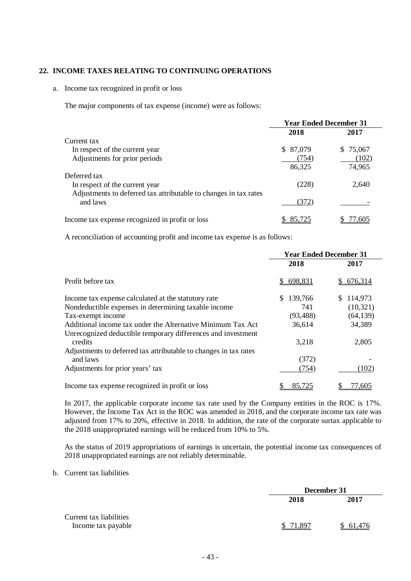#### **22. INCOME TAXES RELATING TO CONTINUING OPERATIONS**

#### a. Income tax recognized in profit or loss

The major components of tax expense (income) were as follows:

|                                                                  | <b>Year Ended December 31</b> |          |
|------------------------------------------------------------------|-------------------------------|----------|
|                                                                  | 2018                          | 2017     |
| Current tax                                                      |                               |          |
| In respect of the current year                                   | 87,079<br>S.                  | \$75,067 |
| Adjustments for prior periods                                    | (754)                         | (102)    |
|                                                                  | 86,325                        | 74,965   |
| Deferred tax                                                     |                               |          |
| In respect of the current year                                   | (228)                         | 2.640    |
| Adjustments to deferred tax attributable to changes in tax rates |                               |          |
| and laws                                                         | (372)                         |          |
| Income tax expense recognized in profit or loss                  | 85,725                        | 77.605   |

A reconciliation of accounting profit and income tax expense is as follows:

|                                                                  | <b>Year Ended December 31</b> |               |
|------------------------------------------------------------------|-------------------------------|---------------|
|                                                                  | 2018                          | 2017          |
| Profit before tax                                                | 698,831<br>S.                 | 676,314<br>S. |
| Income tax expense calculated at the statutory rate              | 139,766<br>\$.                | 114,973<br>S  |
| Nondeductible expenses in determining taxable income             | 741                           | (10, 321)     |
| Tax-exempt income                                                | (93, 488)                     | (64, 139)     |
| Additional income tax under the Alternative Minimum Tax Act      | 36,614                        | 34,389        |
| Unrecognized deductible temporary differences and investment     |                               |               |
| credits                                                          | 3,218                         | 2,805         |
| Adjustments to deferred tax attributable to changes in tax rates |                               |               |
| and laws                                                         | (372)                         |               |
| Adjustments for prior years' tax                                 | (754)                         | (102)         |
| Income tax expense recognized in profit or loss                  | 85,725                        | 77.605        |

In 2017, the applicable corporate income tax rate used by the Company entities in the ROC is 17%. However, the Income Tax Act in the ROC was amended in 2018, and the corporate income tax rate was adjusted from 17% to 20%, effective in 2018. In addition, the rate of the corporate surtax applicable to the 2018 unappropriated earnings will be reduced from 10% to 5%.

As the status of 2019 appropriations of earnings is uncertain, the potential income tax consequences of 2018 unappropriated earnings are not reliably determinable.

b. Current tax liabilities

|                         |           | December 31 |  |
|-------------------------|-----------|-------------|--|
|                         | 2018      | 2017        |  |
| Current tax liabilities |           |             |  |
| Income tax payable      | \$ 71.897 | \$61,476    |  |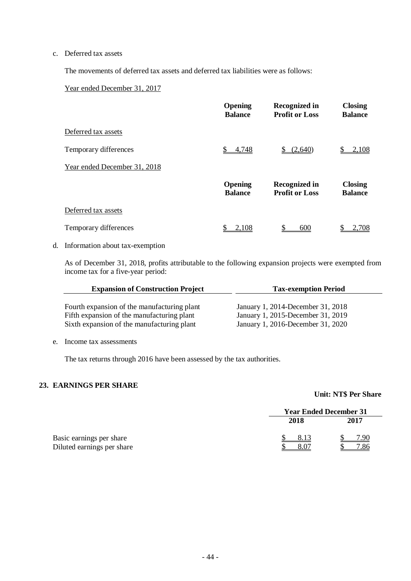#### c. Deferred tax assets

The movements of deferred tax assets and deferred tax liabilities were as follows:

#### Year ended December 31, 2017

|                              | <b>Opening</b><br><b>Balance</b> | <b>Recognized in</b><br><b>Profit or Loss</b> | <b>Closing</b><br><b>Balance</b> |
|------------------------------|----------------------------------|-----------------------------------------------|----------------------------------|
| Deferred tax assets          |                                  |                                               |                                  |
| Temporary differences        | 4,748                            | (2,640)                                       | 2,108                            |
| Year ended December 31, 2018 |                                  |                                               |                                  |
|                              | <b>Opening</b><br><b>Balance</b> | <b>Recognized in</b><br><b>Profit or Loss</b> | <b>Closing</b><br><b>Balance</b> |
| Deferred tax assets          |                                  |                                               |                                  |
| Temporary differences        | 2.108                            | 600                                           | $-708$                           |

#### d. Information about tax-exemption

As of December 31, 2018, profits attributable to the following expansion projects were exempted from income tax for a five-year period:

| <b>Expansion of Construction Project</b>    | <b>Tax-exemption Period</b>       |
|---------------------------------------------|-----------------------------------|
|                                             |                                   |
| Fourth expansion of the manufacturing plant | January 1, 2014-December 31, 2018 |
| Fifth expansion of the manufacturing plant  | January 1, 2015-December 31, 2019 |
| Sixth expansion of the manufacturing plant  | January 1, 2016-December 31, 2020 |

#### e. Income tax assessments

The tax returns through 2016 have been assessed by the tax authorities.

#### **23. EARNINGS PER SHARE**

#### **Unit: NT\$ Per Share**

|                                                        | <b>Year Ended December 31</b> |             |
|--------------------------------------------------------|-------------------------------|-------------|
|                                                        | 2018                          | 2017        |
| Basic earnings per share<br>Diluted earnings per share | 8.07                          | 7.90<br>.86 |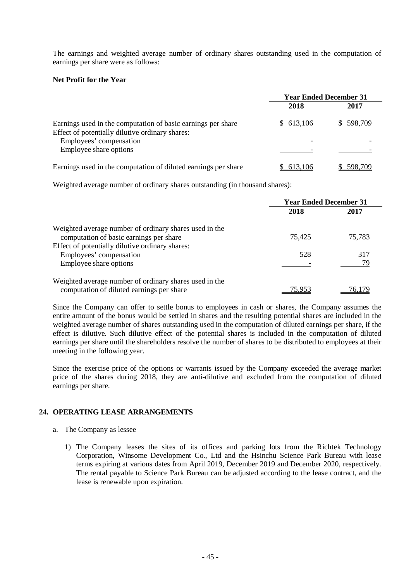The earnings and weighted average number of ordinary shares outstanding used in the computation of earnings per share were as follows:

#### **Net Profit for the Year**

|                                                                                                                                            | <b>Year Ended December 31</b> |           |
|--------------------------------------------------------------------------------------------------------------------------------------------|-------------------------------|-----------|
|                                                                                                                                            | 2018                          | 2017      |
| Earnings used in the computation of basic earnings per share<br>Effect of potentially dilutive ordinary shares:<br>Employees' compensation | \$613,106                     | \$598,709 |
| Employee share options                                                                                                                     |                               |           |
| Earnings used in the computation of diluted earnings per share                                                                             | 613.106                       | 598.709   |

Weighted average number of ordinary shares outstanding (in thousand shares):

|                                                        | <b>Year Ended December 31</b> |        |
|--------------------------------------------------------|-------------------------------|--------|
|                                                        | 2018                          | 2017   |
| Weighted average number of ordinary shares used in the |                               |        |
| computation of basic earnings per share                | 75,425                        | 75,783 |
| Effect of potentially dilutive ordinary shares:        |                               |        |
| Employees' compensation                                | 528                           | 317    |
| Employee share options                                 |                               | 79     |
| Weighted average number of ordinary shares used in the |                               |        |
| computation of diluted earnings per share              | 75.953                        | /6.179 |

Since the Company can offer to settle bonus to employees in cash or shares, the Company assumes the entire amount of the bonus would be settled in shares and the resulting potential shares are included in the weighted average number of shares outstanding used in the computation of diluted earnings per share, if the effect is dilutive. Such dilutive effect of the potential shares is included in the computation of diluted earnings per share until the shareholders resolve the number of shares to be distributed to employees at their meeting in the following year.

Since the exercise price of the options or warrants issued by the Company exceeded the average market price of the shares during 2018, they are anti-dilutive and excluded from the computation of diluted earnings per share.

#### **24. OPERATING LEASE ARRANGEMENTS**

- a. The Company as lessee
	- 1) The Company leases the sites of its offices and parking lots from the Richtek Technology Corporation, Winsome Development Co., Ltd and the Hsinchu Science Park Bureau with lease terms expiring at various dates from April 2019, December 2019 and December 2020, respectively. The rental payable to Science Park Bureau can be adjusted according to the lease contract, and the lease is renewable upon expiration.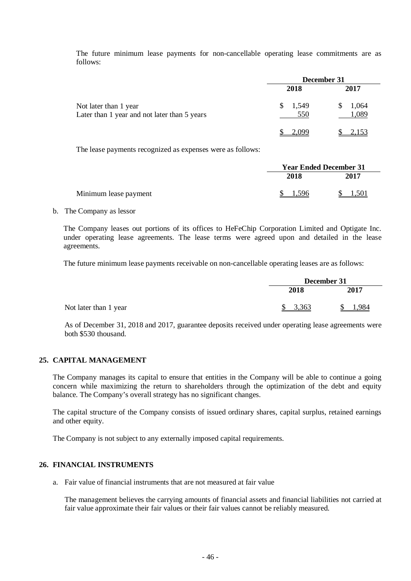The future minimum lease payments for non-cancellable operating lease commitments are as follows:

|                                                                       | December 31  |                |  |
|-----------------------------------------------------------------------|--------------|----------------|--|
|                                                                       | 2018         | 2017           |  |
| Not later than 1 year<br>Later than 1 year and not later than 5 years | 1,549<br>550 | 1,064<br>1,089 |  |
|                                                                       | -009         | 2,153          |  |

The lease payments recognized as expenses were as follows:

|                       |       | <b>Year Ended December 31</b> |  |  |
|-----------------------|-------|-------------------------------|--|--|
|                       | 2018  | 2017                          |  |  |
| Minimum lease payment | 1.596 | 1.501                         |  |  |

#### b. The Company as lessor

The Company leases out portions of its offices to HeFeChip Corporation Limited and Optigate Inc. under operating lease agreements. The lease terms were agreed upon and detailed in the lease agreements.

The future minimum lease payments receivable on non-cancellable operating leases are as follows:

|                       |         | December 31 |  |  |
|-----------------------|---------|-------------|--|--|
|                       | 2018    | 2017        |  |  |
| Not later than 1 year | \$3,363 | .984        |  |  |

As of December 31, 2018 and 2017, guarantee deposits received under operating lease agreements were both \$530 thousand.

#### **25. CAPITAL MANAGEMENT**

The Company manages its capital to ensure that entities in the Company will be able to continue a going concern while maximizing the return to shareholders through the optimization of the debt and equity balance. The Company's overall strategy has no significant changes.

The capital structure of the Company consists of issued ordinary shares, capital surplus, retained earnings and other equity.

The Company is not subject to any externally imposed capital requirements.

### **26. FINANCIAL INSTRUMENTS**

a. Fair value of financial instruments that are not measured at fair value

The management believes the carrying amounts of financial assets and financial liabilities not carried at fair value approximate their fair values or their fair values cannot be reliably measured.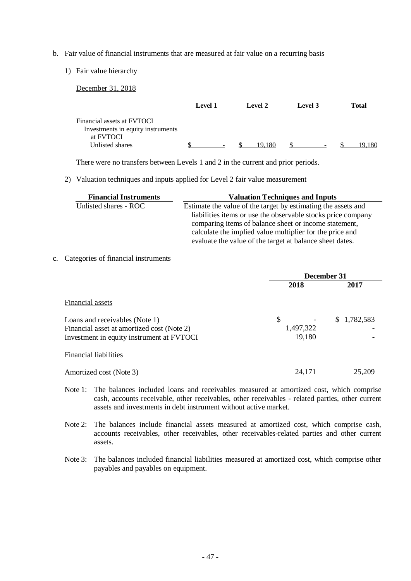- b. Fair value of financial instruments that are measured at fair value on a recurring basis
	- 1) Fair value hierarchy

December 31, 2018 **Level 1 Level 2 Level 3 Total** Financial assets at FVTOCI Investments in equity instruments at FVTOCI Unlisted shares  $\frac{\$ \_\_\_\_$   $\frac{\$ \_19,180} \$ \_5 \_\_\_}$  \$ 19,180

There were no transfers between Levels 1 and 2 in the current and prior periods.

2) Valuation techniques and inputs applied for Level 2 fair value measurement

| <b>Financial Instruments</b> | <b>Valuation Techniques and Inputs</b>                        |
|------------------------------|---------------------------------------------------------------|
| Unlisted shares - ROC        | Estimate the value of the target by estimating the assets and |
|                              | liabilities items or use the observable stocks price company  |
|                              | comparing items of balance sheet or income statement,         |
|                              | calculate the implied value multiplier for the price and      |
|                              | evaluate the value of the target at balance sheet dates.      |

c. Categories of financial instruments

|                                            | December 31 |                 |  |
|--------------------------------------------|-------------|-----------------|--|
|                                            | 2018        | 2017            |  |
| Financial assets                           |             |                 |  |
| Loans and receivables (Note 1)             | \$          | 1,782,583<br>S. |  |
| Financial asset at amortized cost (Note 2) | 1,497,322   |                 |  |
| Investment in equity instrument at FVTOCI  | 19,180      |                 |  |
| <b>Financial liabilities</b>               |             |                 |  |
| Amortized cost (Note 3)                    | 24,171      | 25,209          |  |

Note 1: The balances included loans and receivables measured at amortized cost, which comprise cash, accounts receivable, other receivables, other receivables - related parties, other current assets and investments in debt instrument without active market.

Note 2: The balances include financial assets measured at amortized cost, which comprise cash, accounts receivables, other receivables, other receivables-related parties and other current assets.

Note 3: The balances included financial liabilities measured at amortized cost, which comprise other payables and payables on equipment.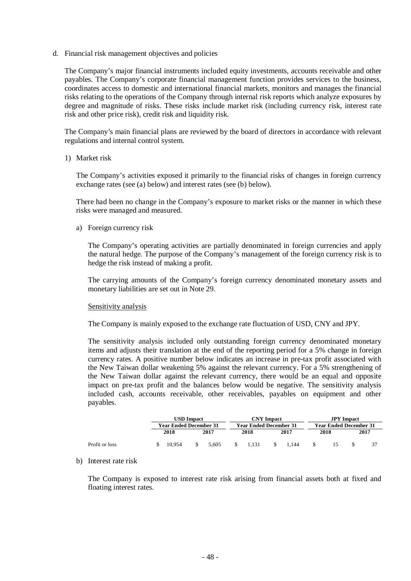d. Financial risk management objectives and policies

The Company's major financial instruments included equity investments, accounts receivable and other payables. The Company's corporate financial management function provides services to the business, coordinates access to domestic and international financial markets, monitors and manages the financial risks relating to the operations of the Company through internal risk reports which analyze exposures by degree and magnitude of risks. These risks include market risk (including currency risk, interest rate risk and other price risk), credit risk and liquidity risk.

The Company's main financial plans are reviewed by the board of directors in accordance with relevant regulations and internal control system.

1) Market risk

The Company's activities exposed it primarily to the financial risks of changes in foreign currency exchange rates (see (a) below) and interest rates (see (b) below).

There had been no change in the Company's exposure to market risks or the manner in which these risks were managed and measured.

a) Foreign currency risk

The Company's operating activities are partially denominated in foreign currencies and apply the natural hedge. The purpose of the Company's management of the foreign currency risk is to hedge the risk instead of making a profit.

The carrying amounts of the Company's foreign currency denominated monetary assets and monetary liabilities are set out in Note 29.

#### Sensitivity analysis

The Company is mainly exposed to the exchange rate fluctuation of USD, CNY and JPY.

The sensitivity analysis included only outstanding foreign currency denominated monetary items and adjusts their translation at the end of the reporting period for a 5% change in foreign currency rates. A positive number below indicates an increase in pre-tax profit associated with the New Taiwan dollar weakening 5% against the relevant currency. For a 5% strengthening of the New Taiwan dollar against the relevant currency, there would be an equal and opposite impact on pre-tax profit and the balances below would be negative. The sensitivity analysis included cash, accounts receivable, other receivables, payables on equipment and other payables.

|                | <b>USD Impact</b>             |        |                               | <b>CNY</b> Impact |  |                               | <b>JPY</b> Impact |       |  |      |  |      |
|----------------|-------------------------------|--------|-------------------------------|-------------------|--|-------------------------------|-------------------|-------|--|------|--|------|
|                | <b>Year Ended December 31</b> |        | <b>Year Ended December 31</b> |                   |  | <b>Year Ended December 31</b> |                   |       |  |      |  |      |
|                |                               | 2018   |                               | 2017              |  | 2018                          |                   | 2017  |  | 2018 |  | 2017 |
| Profit or loss | S.                            | 10.954 |                               | 5.605             |  | 1.131                         |                   | 1.144 |  |      |  |      |

b) Interest rate risk

The Company is exposed to interest rate risk arising from financial assets both at fixed and floating interest rates.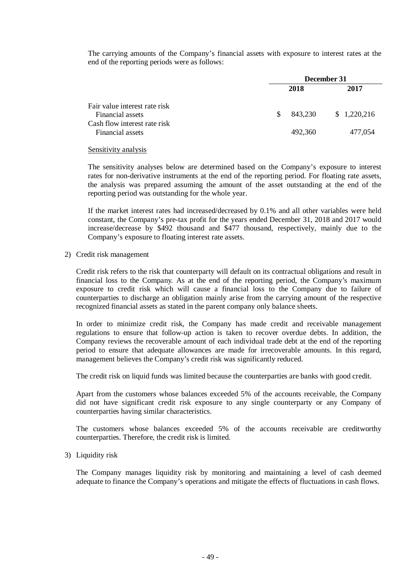The carrying amounts of the Company's financial assets with exposure to interest rates at the end of the reporting periods were as follows:

|                                                                                                       | December 31 |                    |                        |
|-------------------------------------------------------------------------------------------------------|-------------|--------------------|------------------------|
|                                                                                                       |             | 2018               | 2017                   |
| Fair value interest rate risk<br>Financial assets<br>Cash flow interest rate risk<br>Financial assets | \$.         | 843,230<br>492,360 | \$1,220,216<br>477,054 |

#### Sensitivity analysis

The sensitivity analyses below are determined based on the Company's exposure to interest rates for non-derivative instruments at the end of the reporting period. For floating rate assets, the analysis was prepared assuming the amount of the asset outstanding at the end of the reporting period was outstanding for the whole year.

If the market interest rates had increased/decreased by 0.1% and all other variables were held constant, the Company's pre-tax profit for the years ended December 31, 2018 and 2017 would increase/decrease by \$492 thousand and \$477 thousand, respectively, mainly due to the Company's exposure to floating interest rate assets.

2) Credit risk management

Credit risk refers to the risk that counterparty will default on its contractual obligations and result in financial loss to the Company. As at the end of the reporting period, the Company's maximum exposure to credit risk which will cause a financial loss to the Company due to failure of counterparties to discharge an obligation mainly arise from the carrying amount of the respective recognized financial assets as stated in the parent company only balance sheets.

In order to minimize credit risk, the Company has made credit and receivable management regulations to ensure that follow-up action is taken to recover overdue debts. In addition, the Company reviews the recoverable amount of each individual trade debt at the end of the reporting period to ensure that adequate allowances are made for irrecoverable amounts. In this regard, management believes the Company's credit risk was significantly reduced.

The credit risk on liquid funds was limited because the counterparties are banks with good credit.

Apart from the customers whose balances exceeded 5% of the accounts receivable, the Company did not have significant credit risk exposure to any single counterparty or any Company of counterparties having similar characteristics.

The customers whose balances exceeded 5% of the accounts receivable are creditworthy counterparties. Therefore, the credit risk is limited.

#### 3) Liquidity risk

The Company manages liquidity risk by monitoring and maintaining a level of cash deemed adequate to finance the Company's operations and mitigate the effects of fluctuations in cash flows.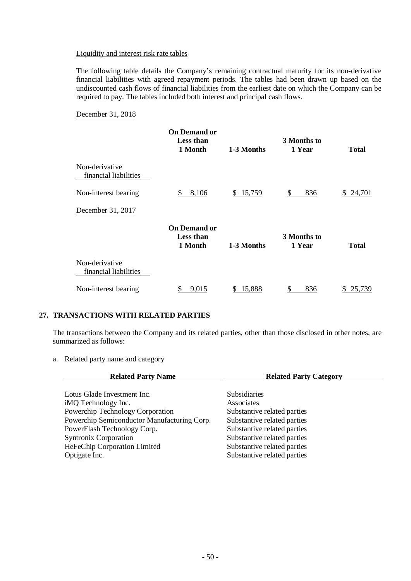#### Liquidity and interest risk rate tables

The following table details the Company's remaining contractual maturity for its non-derivative financial liabilities with agreed repayment periods. The tables had been drawn up based on the undiscounted cash flows of financial liabilities from the earliest date on which the Company can be required to pay. The tables included both interest and principal cash flows.

#### December 31, 2018

|                                         | <b>On Demand or</b><br><b>Less than</b><br>1 Month | 1-3 Months | 3 Months to<br>1 Year | <b>Total</b> |
|-----------------------------------------|----------------------------------------------------|------------|-----------------------|--------------|
| Non-derivative<br>financial liabilities |                                                    |            |                       |              |
| Non-interest bearing                    | 8,106                                              | \$15,759   | S<br>836              | 24,701<br>S. |
| December 31, 2017                       |                                                    |            |                       |              |
|                                         | <b>On Demand or</b><br><b>Less than</b><br>1 Month | 1-3 Months | 3 Months to<br>1 Year | <b>Total</b> |
| Non-derivative<br>financial liabilities |                                                    |            |                       |              |
| Non-interest bearing                    | 9,015                                              | 15,888     | 836                   | 25,739<br>S  |

#### **27. TRANSACTIONS WITH RELATED PARTIES**

The transactions between the Company and its related parties, other than those disclosed in other notes, are summarized as follows:

a. Related party name and category

| <b>Related Party Name</b>                   | <b>Related Party Category</b> |  |  |
|---------------------------------------------|-------------------------------|--|--|
|                                             |                               |  |  |
| Lotus Glade Investment Inc.                 | <b>Subsidiaries</b>           |  |  |
| iMQ Technology Inc.                         | Associates                    |  |  |
| Powerchip Technology Corporation            | Substantive related parties   |  |  |
| Powerchip Semiconductor Manufacturing Corp. | Substantive related parties   |  |  |
| PowerFlash Technology Corp.                 | Substantive related parties   |  |  |
| <b>Syntronix Corporation</b>                | Substantive related parties   |  |  |
| HeFeChip Corporation Limited                | Substantive related parties   |  |  |
| Optigate Inc.                               | Substantive related parties   |  |  |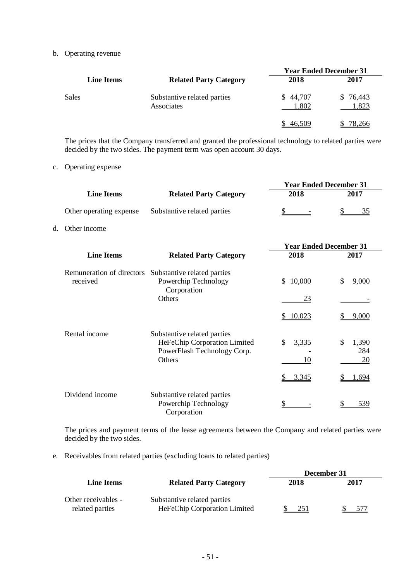b. Operating revenue

|                   |                                           | <b>Year Ended December 31</b> |                  |  |  |
|-------------------|-------------------------------------------|-------------------------------|------------------|--|--|
| <b>Line Items</b> | <b>Related Party Category</b>             | 2018                          | 2017             |  |  |
| Sales             | Substantive related parties<br>Associates | \$44,707<br>1,802             | \$76,443<br>,823 |  |  |
|                   |                                           | 46,509                        | 78,266           |  |  |

The prices that the Company transferred and granted the professional technology to related parties were decided by the two sides. The payment term was open account 30 days.

c. Operating expense

|    |                                       |                                                                                                      | <b>Year Ended December 31</b> |                          |  |  |
|----|---------------------------------------|------------------------------------------------------------------------------------------------------|-------------------------------|--------------------------|--|--|
|    | <b>Line Items</b>                     | <b>Related Party Category</b>                                                                        | 2018                          | 2017                     |  |  |
|    | Other operating expense               | Substantive related parties                                                                          | \$                            | 35<br>\$                 |  |  |
| d. | Other income                          |                                                                                                      |                               |                          |  |  |
|    |                                       |                                                                                                      | <b>Year Ended December 31</b> |                          |  |  |
|    | <b>Line Items</b>                     | <b>Related Party Category</b>                                                                        | 2018                          | 2017                     |  |  |
|    | Remuneration of directors<br>received | Substantive related parties<br>Powerchip Technology<br>Corporation                                   | 10,000<br>\$                  | \$<br>9,000              |  |  |
|    |                                       | Others                                                                                               | 23                            |                          |  |  |
|    |                                       |                                                                                                      | \$10,023                      | 9,000                    |  |  |
|    | Rental income                         | Substantive related parties<br>HeFeChip Corporation Limited<br>PowerFlash Technology Corp.<br>Others | 3,335<br>\$<br>10             | \$<br>1,390<br>284<br>20 |  |  |
|    |                                       |                                                                                                      | 3,345                         | 1,694                    |  |  |
|    | Dividend income                       | Substantive related parties<br>Powerchip Technology<br>Corporation                                   |                               | <u>539</u>               |  |  |

The prices and payment terms of the lease agreements between the Company and related parties were decided by the two sides.

e. Receivables from related parties (excluding loans to related parties)

|                                        |                                                             | December 31 |      |  |  |
|----------------------------------------|-------------------------------------------------------------|-------------|------|--|--|
| <b>Line Items</b>                      | <b>Related Party Category</b>                               | 2018        | 2017 |  |  |
| Other receivables -<br>related parties | Substantive related parties<br>HeFeChip Corporation Limited | 251         | 577  |  |  |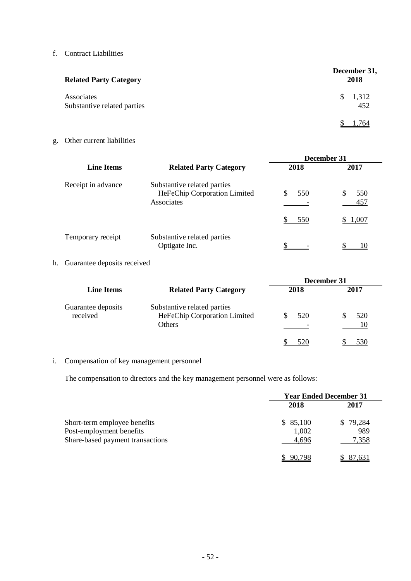#### f. Contract Liabilities

| <b>Related Party Category</b>             | December 31,<br>2018         |
|-------------------------------------------|------------------------------|
| Associates<br>Substantive related parties | 1,312<br><sup>S</sup><br>452 |
|                                           | l.764                        |

g. Other current liabilities

|                    |                                                                           | December 31     |                     |
|--------------------|---------------------------------------------------------------------------|-----------------|---------------------|
| <b>Line Items</b>  | <b>Related Party Category</b>                                             | 2018            | 2017                |
| Receipt in advance | Substantive related parties<br>HeFeChip Corporation Limited<br>Associates | 550<br>S<br>550 | 550<br>457<br>1,007 |
| Temporary receipt  | Substantive related parties<br>Optigate Inc.                              |                 |                     |

## h. Guarantee deposits received

|                                |                                                                       |      | December 31 |
|--------------------------------|-----------------------------------------------------------------------|------|-------------|
| <b>Line Items</b>              | <b>Related Party Category</b>                                         | 2018 | 2017        |
| Guarantee deposits<br>received | Substantive related parties<br>HeFeChip Corporation Limited<br>Others | 520  | 520<br>10   |
|                                |                                                                       | 520  | 530         |

## i. Compensation of key management personnel

The compensation to directors and the key management personnel were as follows:

|                                  |          | <b>Year Ended December 31</b> |  |  |
|----------------------------------|----------|-------------------------------|--|--|
|                                  | 2018     | 2017                          |  |  |
| Short-term employee benefits     | \$85,100 | \$79,284                      |  |  |
| Post-employment benefits         | 1,002    | 989                           |  |  |
| Share-based payment transactions | 4,696    | 7,358                         |  |  |
|                                  | 90.798   | 87.631                        |  |  |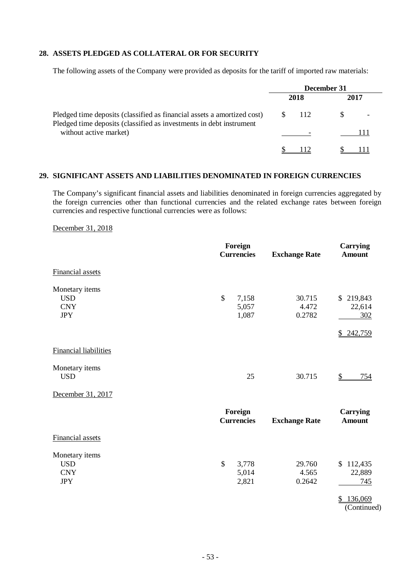#### **28. ASSETS PLEDGED AS COLLATERAL OR FOR SECURITY**

The following assets of the Company were provided as deposits for the tariff of imported raw materials:

|                                                                                                                                                | December 31                     |      |  |  |
|------------------------------------------------------------------------------------------------------------------------------------------------|---------------------------------|------|--|--|
|                                                                                                                                                | 2018                            | 2017 |  |  |
| Pledged time deposits (classified as financial assets a amortized cost)<br>Pledged time deposits (classified as investments in debt instrument | $\frac{\text{S}}{\text{I}}$ 112 |      |  |  |
| without active market)                                                                                                                         |                                 |      |  |  |
|                                                                                                                                                |                                 |      |  |  |

#### **29. SIGNIFICANT ASSETS AND LIABILITIES DENOMINATED IN FOREIGN CURRENCIES**

The Company's significant financial assets and liabilities denominated in foreign currencies aggregated by the foreign currencies other than functional currencies and the related exchange rates between foreign currencies and respective functional currencies were as follows:

December 31, 2018

|                                                          | Foreign<br><b>Currencies</b>  | <b>Exchange Rate</b>      | <b>Carrying</b><br><b>Amount</b>                           |
|----------------------------------------------------------|-------------------------------|---------------------------|------------------------------------------------------------|
| Financial assets                                         |                               |                           |                                                            |
| Monetary items<br><b>USD</b><br><b>CNY</b><br><b>JPY</b> | \$<br>7,158<br>5,057<br>1,087 | 30.715<br>4.472<br>0.2782 | \$219,843<br>22,614<br>302<br>\$ 242,759                   |
| <b>Financial liabilities</b>                             |                               |                           |                                                            |
| Monetary items<br><b>USD</b>                             | 25                            | 30.715                    | $\mathbb{S}$<br>754                                        |
| December 31, 2017                                        |                               |                           |                                                            |
|                                                          | Foreign<br><b>Currencies</b>  | <b>Exchange Rate</b>      | <b>Carrying</b><br><b>Amount</b>                           |
| Financial assets                                         |                               |                           |                                                            |
| Monetary items<br><b>USD</b><br><b>CNY</b><br><b>JPY</b> | \$<br>3,778<br>5,014<br>2,821 | 29.760<br>4.565<br>0.2642 | \$112,435<br>22,889<br>745<br>136,069<br>\$<br>(Continued) |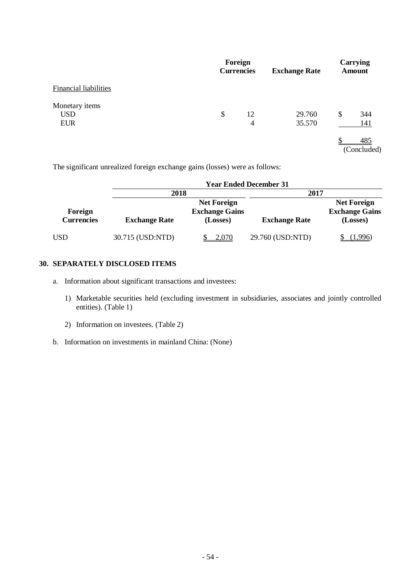|                                            | Foreign<br><b>Currencies</b> | <b>Exchange Rate</b> | Carrying<br><b>Amount</b> |
|--------------------------------------------|------------------------------|----------------------|---------------------------|
| <b>Financial liabilities</b>               |                              |                      |                           |
| Monetary items<br><b>USD</b><br><b>EUR</b> | \$<br>12<br>4                | 29.760<br>35.570     | \$<br>344<br>141          |
|                                            |                              |                      | 485<br>(Concluded)        |

The significant unrealized foreign exchange gains (losses) were as follows:

|                              |                      |                                                         | <b>Year Ended December 31</b> |                                                         |
|------------------------------|----------------------|---------------------------------------------------------|-------------------------------|---------------------------------------------------------|
|                              | 2018                 |                                                         | 2017                          |                                                         |
| Foreign<br><b>Currencies</b> | <b>Exchange Rate</b> | <b>Net Foreign</b><br><b>Exchange Gains</b><br>(Losses) | <b>Exchange Rate</b>          | <b>Net Foreign</b><br><b>Exchange Gains</b><br>(Losses) |
| USD                          | 30.715 (USD:NTD)     | 2,070                                                   | 29.760 (USD:NTD)              | (1,996)                                                 |

#### **30. SEPARATELY DISCLOSED ITEMS**

- a. Information about significant transactions and investees:
	- 1) Marketable securities held (excluding investment in subsidiaries, associates and jointly controlled entities). (Table 1)
	- 2) Information on investees. (Table 2)
- b. Information on investments in mainland China: (None)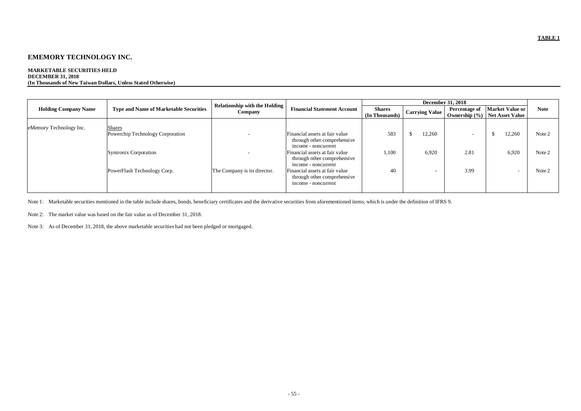#### **MARKETABLE SECURITIES HELD DECEMBER 31, 2018 (In Thousands of New Taiwan Dollars, Unless Stated Otherwise)**

|                             | <b>Type and Name of Marketable Securities</b>                                                             | <b>Relationship with the Holding</b><br>Company |                                                                                                                                                                                                                | December 31, 2018               |                                             |                                    |                                             |                            |
|-----------------------------|-----------------------------------------------------------------------------------------------------------|-------------------------------------------------|----------------------------------------------------------------------------------------------------------------------------------------------------------------------------------------------------------------|---------------------------------|---------------------------------------------|------------------------------------|---------------------------------------------|----------------------------|
| <b>Holding Company Name</b> |                                                                                                           |                                                 | <b>Financial Statement Account</b>                                                                                                                                                                             | <b>Shares</b><br>(In Thousands) | Carrying Value                              | Percentage of<br>Ownership $(\% )$ | <b>Market Value or</b><br>Net Asset Value   | <b>Note</b>                |
| eMemory Technology Inc.     | <b>Shares</b><br>Powerchip Technology Corporation<br>Syntronix Corporation<br>PowerFlash Technology Corp. | The Company is its director.                    | Financial assets at fair value<br>through other comprehensive<br>income - noncurrent<br>Financial assets at fair value<br>through other comprehensive<br>income - noncurrent<br>Financial assets at fair value | 583<br>1,100<br>40              | 12,260<br>6,920<br>$\overline{\phantom{0}}$ | $\sim$<br>2.81<br>3.99             | 12,260<br>6,920<br>$\overline{\phantom{0}}$ | Note 2<br>Note 2<br>Note 2 |
|                             |                                                                                                           |                                                 | through other comprehensive<br>income - noncurrent                                                                                                                                                             |                                 |                                             |                                    |                                             |                            |

Note 1: Marketable securities mentioned in the table include shares, bonds, beneficiary certificates and the derivative securities from aforementioned items, which is under the definition of IFRS 9.

Note 2: The market value was based on the fair value as of December 31, 2018.

Note 3: As of December 31, 2018, the above marketable securities had not been pledged or mortgaged.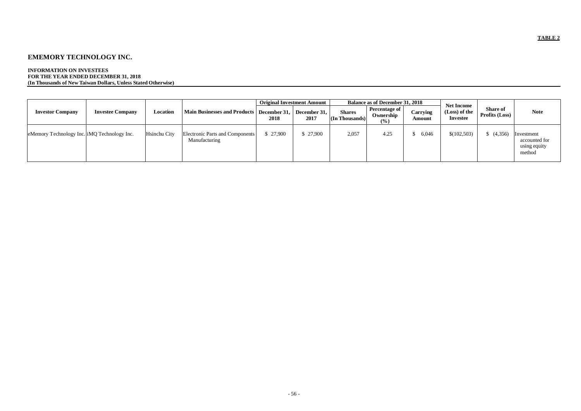#### **INFORMATION ON INVESTEES FOR THE YEAR ENDED DECEMBER 31, 2018 (In Thousands of New Taiwan Dollars, Unless Stated Otherwise)**

|                                             | <b>Investee Company</b> | Location     | Main Businesses and Products   December 31,      | <b>Original Investment Amount</b> |                      | <b>Balance as of December 31, 2018</b> |                                   |                        |                                                       |                                   |                                                       |
|---------------------------------------------|-------------------------|--------------|--------------------------------------------------|-----------------------------------|----------------------|----------------------------------------|-----------------------------------|------------------------|-------------------------------------------------------|-----------------------------------|-------------------------------------------------------|
| <b>Investor Company</b>                     |                         |              |                                                  | 2018                              | December 31.<br>2017 | <b>Shares</b><br>(In Thousands)        | Percentage of<br>Ownership<br>(%) | Carrying<br>Amount     | <b>Net Income</b><br>(Loss) of the<br><b>Investee</b> | <b>Share of</b><br>Profits (Loss) | <b>Note</b>                                           |
| eMemory Technology Inc. iMQ Technology Inc. |                         | Hsinchu City | Electronic Parts and Components<br>Manufacturing | \$27,900                          | \$27,900             | 2,057                                  | 4.25                              | 6,046<br>$\mathcal{P}$ | \$(102,503)                                           | (4,356)                           | Investment<br>accounted for<br>using equity<br>method |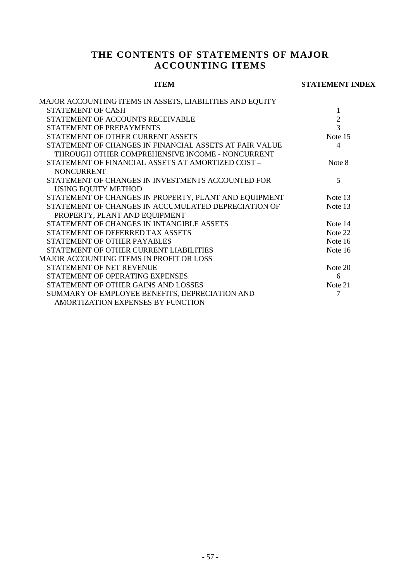## **THE CONTENTS OF STATEMENTS OF MAJOR ACCOUNTING ITEMS**

#### **ITEM STATEMENT INDEX**

| MAJOR ACCOUNTING ITEMS IN ASSETS, LIABILITIES AND EQUITY |                |
|----------------------------------------------------------|----------------|
| STATEMENT OF CASH                                        | 1              |
| STATEMENT OF ACCOUNTS RECEIVABLE                         | $\mathbf{2}$   |
| STATEMENT OF PREPAYMENTS                                 | $\overline{3}$ |
| STATEMENT OF OTHER CURRENT ASSETS                        | Note 15        |
| STATEMENT OF CHANGES IN FINANCIAL ASSETS AT FAIR VALUE   | 4              |
| THROUGH OTHER COMPREHENSIVE INCOME - NONCURRENT          |                |
| STATEMENT OF FINANCIAL ASSETS AT AMORTIZED COST -        | Note 8         |
| <b>NONCURRENT</b>                                        |                |
| STATEMENT OF CHANGES IN INVESTMENTS ACCOUNTED FOR        | 5              |
| USING EQUITY METHOD                                      |                |
| STATEMENT OF CHANGES IN PROPERTY, PLANT AND EQUIPMENT    | Note 13        |
| STATEMENT OF CHANGES IN ACCUMULATED DEPRECIATION OF      | Note 13        |
| PROPERTY, PLANT AND EQUIPMENT                            |                |
| STATEMENT OF CHANGES IN INTANGIBLE ASSETS                | Note 14        |
| STATEMENT OF DEFERRED TAX ASSETS                         | Note 22        |
| STATEMENT OF OTHER PAYABLES                              | Note 16        |
| STATEMENT OF OTHER CURRENT LIABILITIES                   | Note 16        |
| <b>MAJOR ACCOUNTING ITEMS IN PROFIT OR LOSS</b>          |                |
| STATEMENT OF NET REVENUE                                 | Note 20        |
| STATEMENT OF OPERATING EXPENSES                          | 6              |
| STATEMENT OF OTHER GAINS AND LOSSES                      | Note 21        |
| SUMMARY OF EMPLOYEE BENEFITS, DEPRECIATION AND           | 7              |
| AMORTIZATION EXPENSES BY FUNCTION                        |                |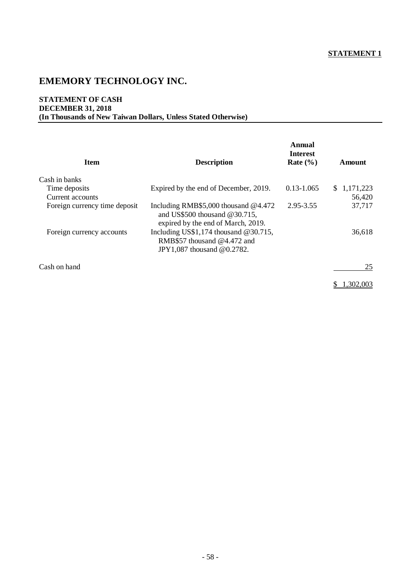#### **STATEMENT OF CASH DECEMBER 31, 2018 (In Thousands of New Taiwan Dollars, Unless Stated Otherwise)**

| <b>Item</b>                   | <b>Description</b>                                                                                               | Annual<br><b>Interest</b><br>Rate $(\% )$ | Amount      |
|-------------------------------|------------------------------------------------------------------------------------------------------------------|-------------------------------------------|-------------|
| Cash in banks                 |                                                                                                                  |                                           |             |
| Time deposits                 | Expired by the end of December, 2019.                                                                            | $0.13 - 1.065$                            | \$1,171,223 |
| Current accounts              |                                                                                                                  |                                           | 56,420      |
| Foreign currency time deposit | Including RMB\$5,000 thousand $@4.472$<br>and US\$500 thousand $@30.715$ ,<br>expired by the end of March, 2019. | 2.95-3.55                                 | 37,717      |
| Foreign currency accounts     | Including US\$1,174 thousand $@30.715$ ,<br>RMB\$57 thousand @4.472 and<br>JPY1,087 thousand @0.2782.            |                                           | 36,618      |
| Cash on hand                  |                                                                                                                  |                                           | 25          |
|                               |                                                                                                                  |                                           | 1.302.003   |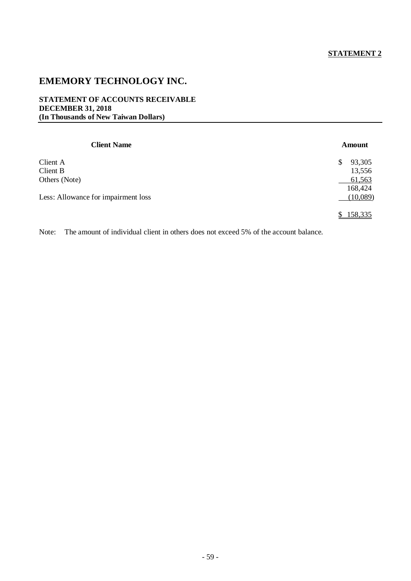#### **STATEMENT OF ACCOUNTS RECEIVABLE DECEMBER 31, 2018 (In Thousands of New Taiwan Dollars)**

| <b>Client Name</b>                  | Amount       |
|-------------------------------------|--------------|
| Client A                            | 93,305<br>\$ |
| Client B                            | 13,556       |
| Others (Note)                       | 61,563       |
|                                     | 168,424      |
| Less: Allowance for impairment loss | (10,089)     |
|                                     | 158,335      |

Note: The amount of individual client in others does not exceed 5% of the account balance.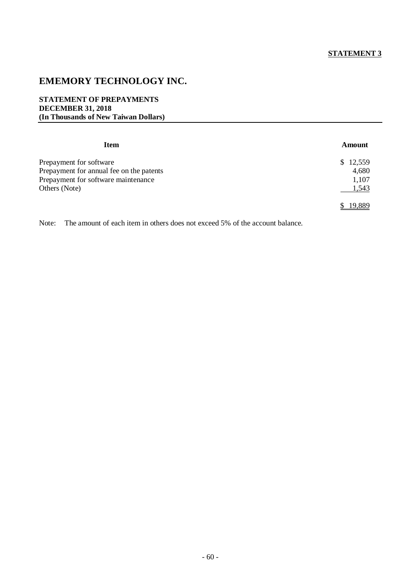#### **STATEMENT OF PREPAYMENTS DECEMBER 31, 2018 (In Thousands of New Taiwan Dollars)**

| Item                                     | Amount   |
|------------------------------------------|----------|
| Prepayment for software                  | \$12,559 |
| Prepayment for annual fee on the patents | 4,680    |
| Prepayment for software maintenance      | 1,107    |
| Others (Note)                            | 1,543    |
|                                          | 19,889   |

Note: The amount of each item in others does not exceed 5% of the account balance.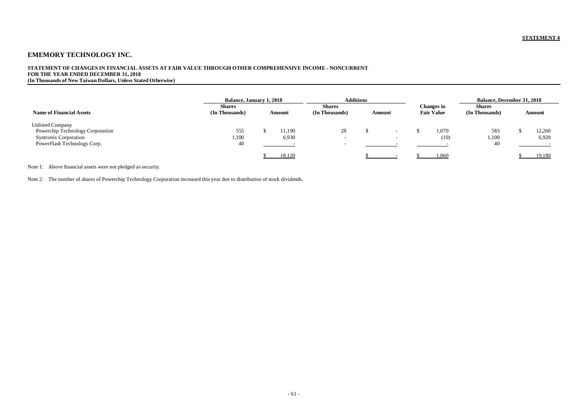#### **STATEMENT OF CHANGES IN FINANCIAL ASSETS AT FAIR VALUE THROUGH OTHER COMPREHENSIVE INCOME - NONCURRENT FOR THE YEAR ENDED DECEMBER 31, 2018**

**(In Thousands of New Taiwan Dollars, Unless Stated Otherwise)**

|                                                                                             |                                 | <b>Balance, January 1, 2018</b> |                 |                                    | <b>Additions</b> |                          |  |                                        | <b>Balance, December 31, 2018</b> |  |                 |  |
|---------------------------------------------------------------------------------------------|---------------------------------|---------------------------------|-----------------|------------------------------------|------------------|--------------------------|--|----------------------------------------|-----------------------------------|--|-----------------|--|
| <b>Name of Financial Assets</b>                                                             | <b>Shares</b><br>(In Thousands) |                                 | Amount          | <b>Shares</b><br>(In Thousands)    |                  | Amount                   |  | <b>Changes in</b><br><b>Fair Value</b> | <b>Shares</b><br>(In Thousands)   |  | Amount          |  |
| <b>Unlisted Company</b><br>Powerchip Technology Corporation<br><b>Syntronix Corporation</b> | 555<br>1,100                    |                                 | 11.190<br>6,930 | 28                                 |                  |                          |  | 1.070<br>(10)                          | 583<br>1,100                      |  | 12,260<br>6,920 |  |
| PowerFlash Technology Corp.                                                                 | 40                              |                                 |                 | $\overline{\phantom{0}}$<br>$\sim$ |                  | $\overline{\phantom{0}}$ |  |                                        | 40                                |  |                 |  |
|                                                                                             |                                 |                                 | 18,120          |                                    |                  |                          |  | 1,060                                  |                                   |  | 19,180          |  |

Note 1: Above financial assets were not pledged as security.

Note 2: The number of shares of Powerchip Technology Corporation increased this year due to distribution of stock dividends.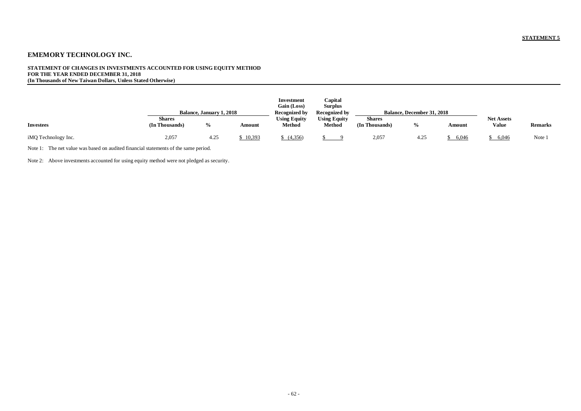#### **STATEMENT OF CHANGES IN INVESTMENTS ACCOUNTED FOR USING EQUITY METHOD FOR THE YEAR ENDED DECEMBER 31, 2018 (In Thousands of New Taiwan Dollars, Unless Stated Otherwise)**

|                     | Balance, January 1, 2018        |               |        |                               | Capital<br>Surplus<br>Recognized by  |                                 | <b>Balance, December 31, 2018</b> |        |                                   |                |
|---------------------|---------------------------------|---------------|--------|-------------------------------|--------------------------------------|---------------------------------|-----------------------------------|--------|-----------------------------------|----------------|
| <b>Investees</b>    | <b>Shares</b><br>(In Thousands) | $\frac{6}{9}$ | Amount | <b>Using Equity</b><br>Method | <b>Using Equity</b><br><b>Method</b> | <b>Shares</b><br>(In Thousands) | $\%$                              | Amount | <b>Net Assets</b><br><b>Value</b> | <b>Remarks</b> |
| iMQ Technology Inc. | 2,057                           | 4.25          | 10,393 | (4,356)                       |                                      | 2,057                           | 4.25                              | 6.046  | 6,046                             | Note 1         |

Note 1: The net value was based on audited financial statements of the same period.

Note 2: Above investments accounted for using equity method were not pledged as security.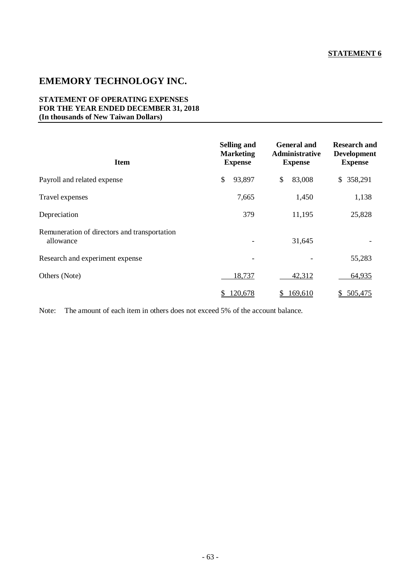#### **STATEMENT OF OPERATING EXPENSES FOR THE YEAR ENDED DECEMBER 31, 2018 (In thousands of New Taiwan Dollars)**

| <b>Item</b>                                               | <b>Selling and</b><br><b>Marketing</b><br><b>Expense</b> | <b>General and</b><br>Administrative<br><b>Expense</b> | <b>Research and</b><br><b>Development</b><br><b>Expense</b> |  |  |
|-----------------------------------------------------------|----------------------------------------------------------|--------------------------------------------------------|-------------------------------------------------------------|--|--|
| Payroll and related expense                               | \$<br>93,897                                             | \$<br>83,008                                           | 358,291<br>\$                                               |  |  |
| Travel expenses                                           | 7,665                                                    | 1,450                                                  | 1,138                                                       |  |  |
| Depreciation                                              | 379                                                      | 11,195                                                 | 25,828                                                      |  |  |
| Remuneration of directors and transportation<br>allowance | -                                                        | 31,645                                                 |                                                             |  |  |
| Research and experiment expense                           |                                                          |                                                        | 55,283                                                      |  |  |
| Others (Note)                                             | 18,737                                                   | 42,312                                                 | 64,935                                                      |  |  |
|                                                           | 120,678<br>S                                             | 169,610<br>S                                           | 505,475<br>S.                                               |  |  |

Note: The amount of each item in others does not exceed 5% of the account balance.